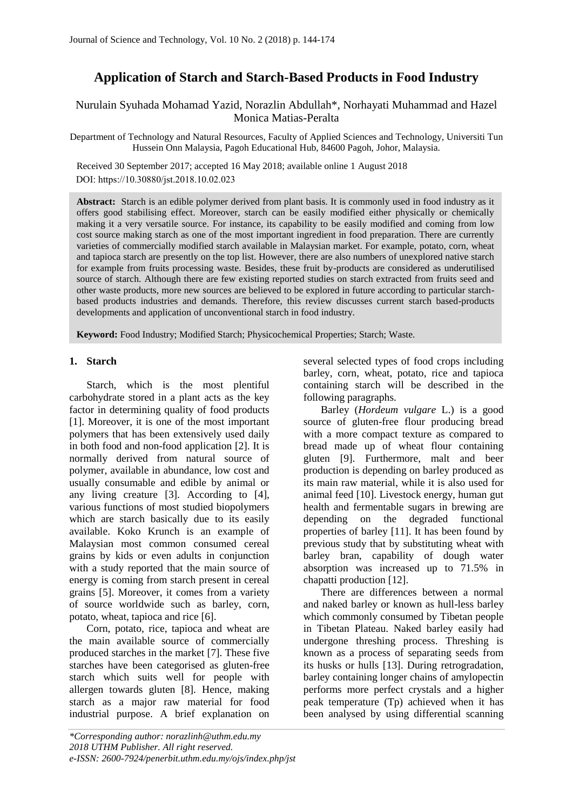# **Application of Starch and Starch-Based Products in Food Industry**

## Nurulain Syuhada Mohamad Yazid, Norazlin Abdullah\*, Norhayati Muhammad and Hazel Monica Matias-Peralta

Department of Technology and Natural Resources, Faculty of Applied Sciences and Technology, Universiti Tun Hussein Onn Malaysia, Pagoh Educational Hub, 84600 Pagoh, Johor, Malaysia.

 Received 30 September 2017; accepted 16 May 2018; available online 1 August 2018 DOI: https://10.30880/jst.2018.10.02.023

**Abstract:** Starch is an edible polymer derived from plant basis. It is commonly used in food industry as it offers good stabilising effect. Moreover, starch can be easily modified either physically or chemically making it a very versatile source. For instance, its capability to be easily modified and coming from low cost source making starch as one of the most important ingredient in food preparation. There are currently varieties of commercially modified starch available in Malaysian market. For example, potato, corn, wheat and tapioca starch are presently on the top list. However, there are also numbers of unexplored native starch for example from fruits processing waste. Besides, these fruit by-products are considered as underutilised source of starch. Although there are few existing reported studies on starch extracted from fruits seed and other waste products, more new sources are believed to be explored in future according to particular starchbased products industries and demands. Therefore, this review discusses current starch based-products developments and application of unconventional starch in food industry.

**Keyword:** Food Industry; Modified Starch; Physicochemical Properties; Starch; Waste.

#### **1. Starch**

Starch, which is the most plentiful carbohydrate stored in a plant acts as the key factor in determining quality of food products [1]. Moreover, it is one of the most important polymers that has been extensively used daily in both food and non-food application [2]. It is normally derived from natural source of polymer, available in abundance, low cost and usually consumable and edible by animal or any living creature [3]. According to [4], various functions of most studied biopolymers which are starch basically due to its easily available. Koko Krunch is an example of Malaysian most common consumed cereal grains by kids or even adults in conjunction with a study reported that the main source of energy is coming from starch present in cereal grains [5]. Moreover, it comes from a variety of source worldwide such as barley, corn, potato, wheat, tapioca and rice [6].

Corn, potato, rice, tapioca and wheat are the main available source of commercially produced starches in the market [7]. These five starches have been categorised as gluten-free starch which suits well for people with allergen towards gluten [8]. Hence, making starch as a major raw material for food industrial purpose. A brief explanation on several selected types of food crops including barley, corn, wheat, potato, rice and tapioca containing starch will be described in the following paragraphs.

Barley (*Hordeum vulgare* L.) is a good source of gluten-free flour producing bread with a more compact texture as compared to bread made up of wheat flour containing gluten [9]. Furthermore, malt and beer production is depending on barley produced as its main raw material, while it is also used for animal feed [10]. Livestock energy, human gut health and fermentable sugars in brewing are depending on the degraded functional properties of barley [11]. It has been found by previous study that by substituting wheat with barley bran, capability of dough water absorption was increased up to 71.5% in chapatti production [12].

There are differences between a normal and naked barley or known as hull-less barley which commonly consumed by Tibetan people in Tibetan Plateau. Naked barley easily had undergone threshing process. Threshing is known as a process of separating seeds from its husks or hulls [13]. During retrogradation, barley containing longer chains of amylopectin performs more perfect crystals and a higher peak temperature (Tp) achieved when it has been analysed by using differential scanning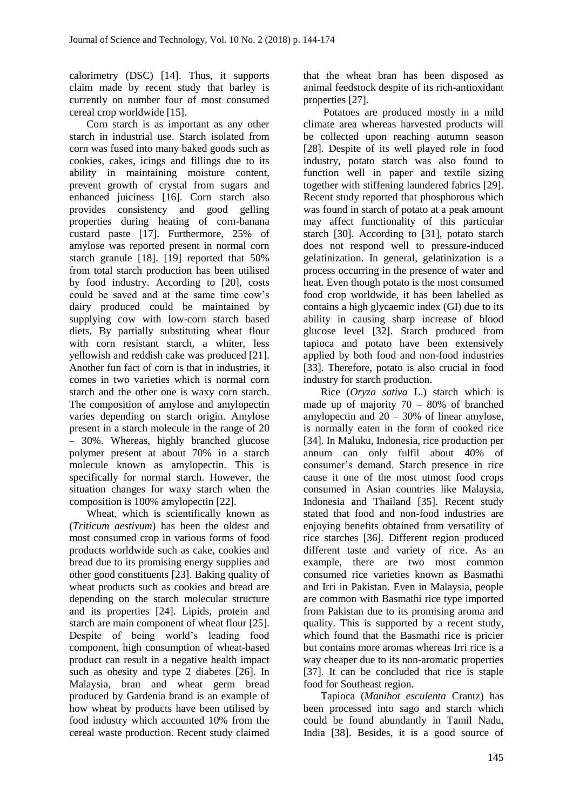calorimetry (DSC) [14]. Thus, it supports claim made by recent study that barley is currently on number four of most consumed cereal crop worldwide [15].

Corn starch is as important as any other starch in industrial use. Starch isolated from corn was fused into many baked goods such as cookies, cakes, icings and fillings due to its ability in maintaining moisture content, prevent growth of crystal from sugars and enhanced juiciness [16]. Corn starch also provides consistency and good gelling properties during heating of corn-banana custard paste [17]. Furthermore, 25% of amylose was reported present in normal corn starch granule [18]. [19] reported that 50% from total starch production has been utilised by food industry. According to [20], costs could be saved and at the same time cow's dairy produced could be maintained by supplying cow with low-corn starch based diets. By partially substituting wheat flour with corn resistant starch, a whiter, less yellowish and reddish cake was produced [21]. Another fun fact of corn is that in industries, it comes in two varieties which is normal corn starch and the other one is waxy corn starch. The composition of amylose and amylopectin varies depending on starch origin. Amylose present in a starch molecule in the range of 20 – 30%. Whereas, highly branched glucose polymer present at about 70% in a starch molecule known as amylopectin. This is specifically for normal starch. However, the situation changes for waxy starch when the composition is 100% amylopectin [22].

Wheat, which is scientifically known as (*Triticum aestivum*) has been the oldest and most consumed crop in various forms of food products worldwide such as cake, cookies and bread due to its promising energy supplies and other good constituents [23]. Baking quality of wheat products such as cookies and bread are depending on the starch molecular structure and its properties [24]. Lipids, protein and starch are main component of wheat flour [25]. Despite of being world's leading food component, high consumption of wheat-based product can result in a negative health impact such as obesity and type 2 diabetes [26]. In Malaysia, bran and wheat germ bread produced by Gardenia brand is an example of how wheat by products have been utilised by food industry which accounted 10% from the cereal waste production. Recent study claimed

that the wheat bran has been disposed as animal feedstock despite of its rich-antioxidant properties [27].

Potatoes are produced mostly in a mild climate area whereas harvested products will be collected upon reaching autumn season [28]. Despite of its well played role in food industry, potato starch was also found to function well in paper and textile sizing together with stiffening laundered fabrics [29]. Recent study reported that phosphorous which was found in starch of potato at a peak amount may affect functionality of this particular starch [30]. According to [31], potato starch does not respond well to pressure-induced gelatinization. In general, gelatinization is a process occurring in the presence of water and heat. Even though potato is the most consumed food crop worldwide, it has been labelled as contains a high glycaemic index (GI) due to its ability in causing sharp increase of blood glucose level [32]. Starch produced from tapioca and potato have been extensively applied by both food and non-food industries [33]. Therefore, potato is also crucial in food industry for starch production.

Rice (*Oryza sativa* L.) starch which is made up of majority  $70 - 80\%$  of branched amylopectin and  $20 - 30\%$  of linear amylose, is normally eaten in the form of cooked rice [34]. In Maluku, Indonesia, rice production per annum can only fulfil about 40% of consumer's demand. Starch presence in rice cause it one of the most utmost food crops consumed in Asian countries like Malaysia, Indonesia and Thailand [35]. Recent study stated that food and non-food industries are enjoying benefits obtained from versatility of rice starches [36]. Different region produced different taste and variety of rice. As an example, there are two most common consumed rice varieties known as Basmathi and Irri in Pakistan. Even in Malaysia, people are common with Basmathi rice type imported from Pakistan due to its promising aroma and quality. This is supported by a recent study, which found that the Basmathi rice is pricier but contains more aromas whereas Irri rice is a way cheaper due to its non-aromatic properties [37]. It can be concluded that rice is staple food for Southeast region.

Tapioca (*Manihot esculenta* Crantz) has been processed into sago and starch which could be found abundantly in Tamil Nadu, India [38]. Besides, it is a good source of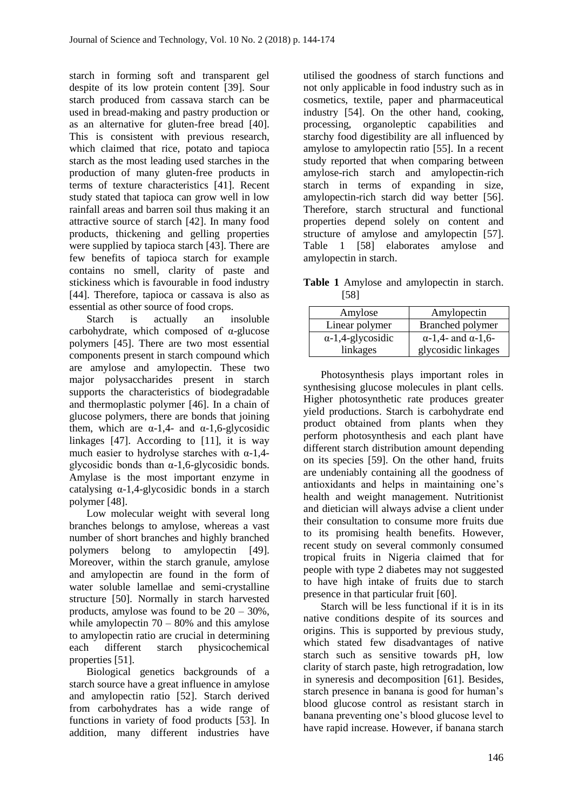starch in forming soft and transparent gel despite of its low protein content [39]. Sour starch produced from cassava starch can be used in bread-making and pastry production or as an alternative for gluten-free bread [40]. This is consistent with previous research, which claimed that rice, potato and tapioca starch as the most leading used starches in the production of many gluten-free products in terms of texture characteristics [41]. Recent study stated that tapioca can grow well in low rainfall areas and barren soil thus making it an attractive source of starch [42]. In many food products, thickening and gelling properties were supplied by tapioca starch [43]. There are few benefits of tapioca starch for example contains no smell, clarity of paste and stickiness which is favourable in food industry [44]. Therefore, tapioca or cassava is also as essential as other source of food crops.

Starch is actually an insoluble carbohydrate, which composed of α-glucose polymers [45]. There are two most essential components present in starch compound which are amylose and amylopectin. These two major polysaccharides present in starch supports the characteristics of biodegradable and thermoplastic polymer [46]. In a chain of glucose polymers, there are bonds that joining them, which are  $\alpha$ -1,4- and  $\alpha$ -1,6-glycosidic linkages [47]. According to [11], it is way much easier to hydrolyse starches with  $\alpha$ -1,4glycosidic bonds than  $\alpha$ -1,6-glycosidic bonds. Amylase is the most important enzyme in catalysing  $\alpha$ -1,4-glycosidic bonds in a starch polymer [48].

Low molecular weight with several long branches belongs to amylose, whereas a vast number of short branches and highly branched polymers belong to amylopectin [49]. Moreover, within the starch granule, amylose and amylopectin are found in the form of water soluble lamellae and semi-crystalline structure [50]. Normally in starch harvested products, amylose was found to be  $20 - 30\%$ , while amylopectin  $70 - 80\%$  and this amylose to amylopectin ratio are crucial in determining each different starch physicochemical properties [51].

Biological genetics backgrounds of a starch source have a great influence in amylose and amylopectin ratio [52]. Starch derived from carbohydrates has a wide range of functions in variety of food products [53]. In addition, many different industries have utilised the goodness of starch functions and not only applicable in food industry such as in cosmetics, textile, paper and pharmaceutical industry [54]. On the other hand, cooking, processing, organoleptic capabilities and starchy food digestibility are all influenced by amylose to amylopectin ratio [55]. In a recent study reported that when comparing between amylose-rich starch and amylopectin-rich starch in terms of expanding in size, amylopectin-rich starch did way better [56]. Therefore, starch structural and functional properties depend solely on content and structure of amylose and amylopectin [57]. Table 1 [58] elaborates amylose and amylopectin in starch.

**Table 1** Amylose and amylopectin in starch. [58]

| Amylose                  | Amylopectin                       |
|--------------------------|-----------------------------------|
| Linear polymer           | Branched polymer                  |
| $\alpha$ -1,4-glycosidic | $\alpha$ -1,4- and $\alpha$ -1,6- |
| linkages                 | glycosidic linkages               |

Photosynthesis plays important roles in synthesising glucose molecules in plant cells. Higher photosynthetic rate produces greater yield productions. Starch is carbohydrate end product obtained from plants when they perform photosynthesis and each plant have different starch distribution amount depending on its species [59]. On the other hand, fruits are undeniably containing all the goodness of antioxidants and helps in maintaining one's health and weight management. Nutritionist and dietician will always advise a client under their consultation to consume more fruits due to its promising health benefits. However, recent study on several commonly consumed tropical fruits in Nigeria claimed that for people with type 2 diabetes may not suggested to have high intake of fruits due to starch presence in that particular fruit [60].

Starch will be less functional if it is in its native conditions despite of its sources and origins. This is supported by previous study, which stated few disadvantages of native starch such as sensitive towards pH, low clarity of starch paste, high retrogradation, low in syneresis and decomposition [61]. Besides, starch presence in banana is good for human's blood glucose control as resistant starch in banana preventing one's blood glucose level to have rapid increase. However, if banana starch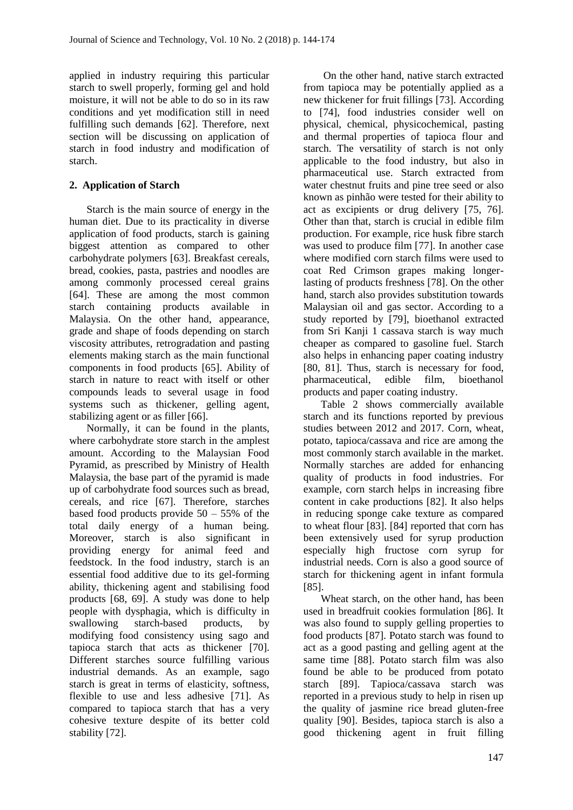applied in industry requiring this particular starch to swell properly, forming gel and hold moisture, it will not be able to do so in its raw conditions and yet modification still in need fulfilling such demands [62]. Therefore, next section will be discussing on application of starch in food industry and modification of starch.

# **2. Application of Starch**

Starch is the main source of energy in the human diet. Due to its practicality in diverse application of food products, starch is gaining biggest attention as compared to other carbohydrate polymers [63]. Breakfast cereals, bread, cookies, pasta, pastries and noodles are among commonly processed cereal grains [64]. These are among the most common starch containing products available in Malaysia. On the other hand, appearance, grade and shape of foods depending on starch viscosity attributes, retrogradation and pasting elements making starch as the main functional components in food products [65]. Ability of starch in nature to react with itself or other compounds leads to several usage in food systems such as thickener, gelling agent, stabilizing agent or as filler [66].

Normally, it can be found in the plants, where carbohydrate store starch in the amplest amount. According to the Malaysian Food Pyramid, as prescribed by Ministry of Health Malaysia, the base part of the pyramid is made up of carbohydrate food sources such as bread, cereals, and rice [67]. Therefore, starches based food products provide  $50 - 55\%$  of the total daily energy of a human being. Moreover, starch is also significant in providing energy for animal feed and feedstock. In the food industry, starch is an essential food additive due to its gel-forming ability, thickening agent and stabilising food products [68, 69]. A study was done to help people with dysphagia, which is difficulty in swallowing starch-based products, by modifying food consistency using sago and tapioca starch that acts as thickener [70]. Different starches source fulfilling various industrial demands. As an example, sago starch is great in terms of elasticity, softness, flexible to use and less adhesive [71]. As compared to tapioca starch that has a very cohesive texture despite of its better cold stability [72].

On the other hand, native starch extracted from tapioca may be potentially applied as a new thickener for fruit fillings [73]. According to [74], food industries consider well on physical, chemical, physicochemical, pasting and thermal properties of tapioca flour and starch. The versatility of starch is not only applicable to the food industry, but also in pharmaceutical use. Starch extracted from water chestnut fruits and pine tree seed or also known as pinhão were tested for their ability to act as excipients or drug delivery [75, 76]. Other than that, starch is crucial in edible film production. For example, rice husk fibre starch was used to produce film [77]. In another case where modified corn starch films were used to coat Red Crimson grapes making longerlasting of products freshness [78]. On the other hand, starch also provides substitution towards Malaysian oil and gas sector. According to a study reported by [79], bioethanol extracted from Sri Kanji 1 cassava starch is way much cheaper as compared to gasoline fuel. Starch also helps in enhancing paper coating industry [80, 81]. Thus, starch is necessary for food, pharmaceutical, edible film, bioethanol products and paper coating industry.

Table 2 shows commercially available starch and its functions reported by previous studies between 2012 and 2017. Corn, wheat, potato, tapioca/cassava and rice are among the most commonly starch available in the market. Normally starches are added for enhancing quality of products in food industries. For example, corn starch helps in increasing fibre content in cake productions [82]. It also helps in reducing sponge cake texture as compared to wheat flour [83]. [84] reported that corn has been extensively used for syrup production especially high fructose corn syrup for industrial needs. Corn is also a good source of starch for thickening agent in infant formula [85].

Wheat starch, on the other hand, has been used in breadfruit cookies formulation [86]. It was also found to supply gelling properties to food products [87]. Potato starch was found to act as a good pasting and gelling agent at the same time [88]. Potato starch film was also found be able to be produced from potato starch [89]. Tapioca/cassava starch was reported in a previous study to help in risen up the quality of jasmine rice bread gluten-free quality [90]. Besides, tapioca starch is also a good thickening agent in fruit filling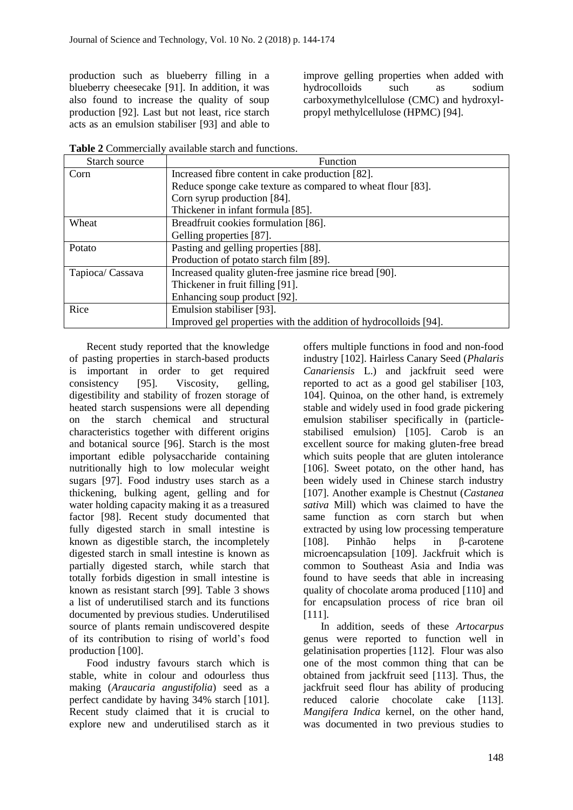production such as blueberry filling in a blueberry cheesecake [91]. In addition, it was also found to increase the quality of soup production [92]. Last but not least, rice starch acts as an emulsion stabiliser [93] and able to

improve gelling properties when added with hydrocolloids such as sodium carboxymethylcellulose (CMC) and hydroxylpropyl methylcellulose (HPMC) [94].

**Table 2** Commercially available starch and functions.

| Starch source    | Function                                                         |
|------------------|------------------------------------------------------------------|
| Corn             | Increased fibre content in cake production [82].                 |
|                  | Reduce sponge cake texture as compared to wheat flour [83].      |
|                  | Corn syrup production [84].                                      |
|                  | Thickener in infant formula [85].                                |
| Wheat            | Breadfruit cookies formulation [86].                             |
|                  | Gelling properties [87].                                         |
| Potato           | Pasting and gelling properties [88].                             |
|                  | Production of potato starch film [89].                           |
| Tapioca/ Cassava | Increased quality gluten-free jasmine rice bread [90].           |
|                  | Thickener in fruit filling [91].                                 |
|                  | Enhancing soup product [92].                                     |
| Rice             | Emulsion stabiliser [93].                                        |
|                  | Improved gel properties with the addition of hydrocolloids [94]. |

Recent study reported that the knowledge of pasting properties in starch-based products is important in order to get required consistency [95]. Viscosity, gelling, digestibility and stability of frozen storage of heated starch suspensions were all depending on the starch chemical and structural characteristics together with different origins and botanical source [96]. Starch is the most important edible polysaccharide containing nutritionally high to low molecular weight sugars [97]. Food industry uses starch as a thickening, bulking agent, gelling and for water holding capacity making it as a treasured factor [98]. Recent study documented that fully digested starch in small intestine is known as digestible starch, the incompletely digested starch in small intestine is known as partially digested starch, while starch that totally forbids digestion in small intestine is known as resistant starch [99]. Table 3 shows a list of underutilised starch and its functions documented by previous studies. Underutilised source of plants remain undiscovered despite of its contribution to rising of world's food production [100].

Food industry favours starch which is stable, white in colour and odourless thus making (*Araucaria angustifolia*) seed as a perfect candidate by having 34% starch [101]. Recent study claimed that it is crucial to explore new and underutilised starch as it

offers multiple functions in food and non-food industry [102]. Hairless Canary Seed (*Phalaris Canariensis* L.) and jackfruit seed were reported to act as a good gel stabiliser [103, 104]. Quinoa, on the other hand, is extremely stable and widely used in food grade pickering emulsion stabiliser specifically in (particlestabilised emulsion) [105]. Carob is an excellent source for making gluten-free bread which suits people that are gluten intolerance [106]. Sweet potato, on the other hand, has been widely used in Chinese starch industry [107]. Another example is Chestnut (*Castanea sativa* Mill) which was claimed to have the same function as corn starch but when extracted by using low processing temperature [108]. Pinhão helps in β-carotene microencapsulation [109]. Jackfruit which is common to Southeast Asia and India was found to have seeds that able in increasing quality of chocolate aroma produced [110] and for encapsulation process of rice bran oil [111].

In addition, seeds of these *Artocarpus* genus were reported to function well in gelatinisation properties [112]. Flour was also one of the most common thing that can be obtained from jackfruit seed [113]. Thus, the jackfruit seed flour has ability of producing reduced calorie chocolate cake [113]. *Mangifera Indica* kernel, on the other hand, was documented in two previous studies to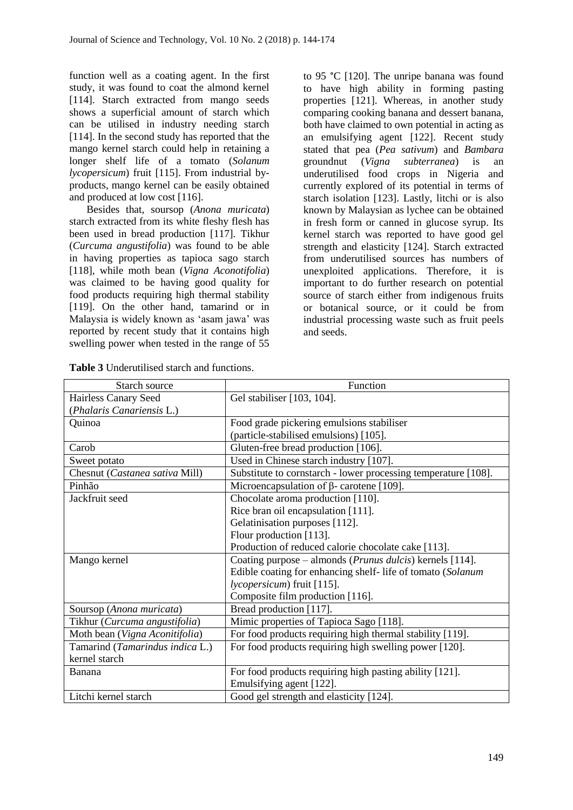function well as a coating agent. In the first study, it was found to coat the almond kernel [114]. Starch extracted from mango seeds shows a superficial amount of starch which can be utilised in industry needing starch [114]. In the second study has reported that the mango kernel starch could help in retaining a longer shelf life of a tomato (*Solanum lycopersicum*) fruit [115]. From industrial byproducts, mango kernel can be easily obtained and produced at low cost [116].

Besides that, soursop (*Anona muricata*) starch extracted from its white fleshy flesh has been used in bread production [117]. Tikhur (*Curcuma angustifolia*) was found to be able in having properties as tapioca sago starch [118], while moth bean (*Vigna Aconotifolia*) was claimed to be having good quality for food products requiring high thermal stability [119]. On the other hand, tamarind or in Malaysia is widely known as 'asam jawa' was reported by recent study that it contains high swelling power when tested in the range of 55

to 95 °C [120]. The unripe banana was found to have high ability in forming pasting properties [121]. Whereas, in another study comparing cooking banana and dessert banana, both have claimed to own potential in acting as an emulsifying agent [122]. Recent study stated that pea (*Pea sativum*) and *Bambara* groundnut (*Vigna subterranea*) is an underutilised food crops in Nigeria and currently explored of its potential in terms of starch isolation [123]. Lastly, litchi or is also known by Malaysian as lychee can be obtained in fresh form or canned in glucose syrup. Its kernel starch was reported to have good gel strength and elasticity [124]. Starch extracted from underutilised sources has numbers of unexploited applications. Therefore, it is important to do further research on potential source of starch either from indigenous fruits or botanical source, or it could be from industrial processing waste such as fruit peels and seeds.

| Starch source                   | Function                                                          |  |
|---------------------------------|-------------------------------------------------------------------|--|
| Hairless Canary Seed            | Gel stabiliser [103, 104].                                        |  |
| (Phalaris Canariensis L.)       |                                                                   |  |
| Quinoa                          | Food grade pickering emulsions stabiliser                         |  |
|                                 | (particle-stabilised emulsions) [105].                            |  |
| Carob                           | Gluten-free bread production [106].                               |  |
| Sweet potato                    | Used in Chinese starch industry [107].                            |  |
| Chesnut (Castanea sativa Mill)  | Substitute to cornstarch - lower processing temperature [108].    |  |
| Pinhão                          | Microencapsulation of $\beta$ - carotene [109].                   |  |
| Jackfruit seed                  | Chocolate aroma production [110].                                 |  |
|                                 | Rice bran oil encapsulation [111].                                |  |
|                                 | Gelatinisation purposes [112].                                    |  |
|                                 | Flour production [113].                                           |  |
|                                 | Production of reduced calorie chocolate cake [113].               |  |
| Mango kernel                    | Coating purpose – almonds ( <i>Prunus dulcis</i> ) kernels [114]. |  |
|                                 | Edible coating for enhancing shelf-life of tomato (Solanum        |  |
|                                 | lycopersicum) fruit [115].                                        |  |
|                                 | Composite film production [116].                                  |  |
| Soursop (Anona muricata)        | Bread production [117].                                           |  |
| Tikhur (Curcuma angustifolia)   | Mimic properties of Tapioca Sago [118].                           |  |
| Moth bean (Vigna Aconitifolia)  | For food products requiring high thermal stability [119].         |  |
| Tamarind (Tamarindus indica L.) | For food products requiring high swelling power [120].            |  |
| kernel starch                   |                                                                   |  |
| Banana                          | For food products requiring high pasting ability [121].           |  |
|                                 | Emulsifying agent [122].                                          |  |
| Litchi kernel starch            | Good gel strength and elasticity [124].                           |  |

**Table 3** Underutilised starch and functions.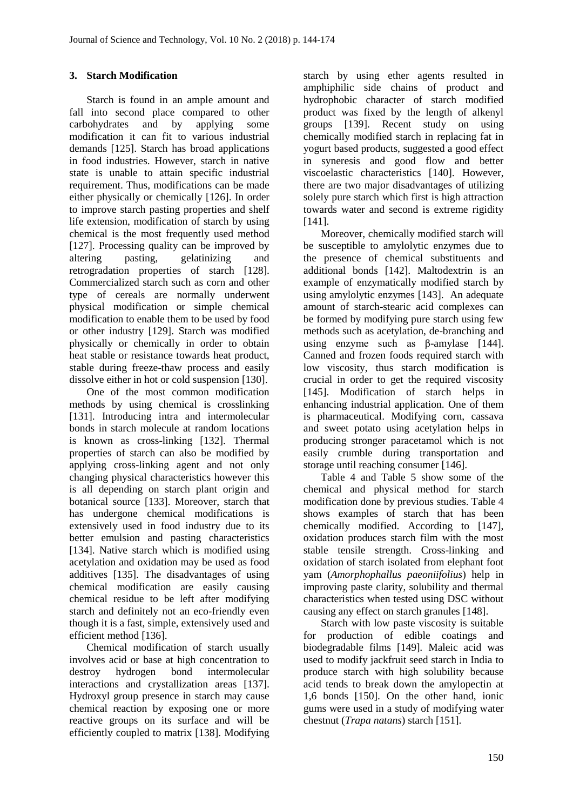## **3. Starch Modification**

Starch is found in an ample amount and fall into second place compared to other carbohydrates and by applying some modification it can fit to various industrial demands [125]. Starch has broad applications in food industries. However, starch in native state is unable to attain specific industrial requirement. Thus, modifications can be made either physically or chemically [126]. In order to improve starch pasting properties and shelf life extension, modification of starch by using chemical is the most frequently used method [127]. Processing quality can be improved by altering pasting, gelatinizing and retrogradation properties of starch [128]. Commercialized starch such as corn and other type of cereals are normally underwent physical modification or simple chemical modification to enable them to be used by food or other industry [129]. Starch was modified physically or chemically in order to obtain heat stable or resistance towards heat product, stable during freeze-thaw process and easily dissolve either in hot or cold suspension [130].

One of the most common modification methods by using chemical is crosslinking [131]. Introducing intra and intermolecular bonds in starch molecule at random locations is known as cross-linking [132]. Thermal properties of starch can also be modified by applying cross-linking agent and not only changing physical characteristics however this is all depending on starch plant origin and botanical source [133]. Moreover, starch that has undergone chemical modifications is extensively used in food industry due to its better emulsion and pasting characteristics [134]. Native starch which is modified using acetylation and oxidation may be used as food additives [135]. The disadvantages of using chemical modification are easily causing chemical residue to be left after modifying starch and definitely not an eco-friendly even though it is a fast, simple, extensively used and efficient method [136].

Chemical modification of starch usually involves acid or base at high concentration to destroy hydrogen bond intermolecular interactions and crystallization areas [137]. Hydroxyl group presence in starch may cause chemical reaction by exposing one or more reactive groups on its surface and will be efficiently coupled to matrix [138]. Modifying starch by using ether agents resulted in amphiphilic side chains of product and hydrophobic character of starch modified product was fixed by the length of alkenyl groups [139]. Recent study on using chemically modified starch in replacing fat in yogurt based products, suggested a good effect in syneresis and good flow and better viscoelastic characteristics [140]. However, there are two major disadvantages of utilizing solely pure starch which first is high attraction towards water and second is extreme rigidity [141].

Moreover, chemically modified starch will be susceptible to amylolytic enzymes due to the presence of chemical substituents and additional bonds [142]. Maltodextrin is an example of enzymatically modified starch by using amylolytic enzymes [143]. An adequate amount of starch-stearic acid complexes can be formed by modifying pure starch using few methods such as acetylation, de-branching and using enzyme such as β-amylase [144]. Canned and frozen foods required starch with low viscosity, thus starch modification is crucial in order to get the required viscosity [145]. Modification of starch helps in enhancing industrial application. One of them is pharmaceutical. Modifying corn, cassava and sweet potato using acetylation helps in producing stronger paracetamol which is not easily crumble during transportation and storage until reaching consumer [146].

Table 4 and Table 5 show some of the chemical and physical method for starch modification done by previous studies. Table 4 shows examples of starch that has been chemically modified. According to [147], oxidation produces starch film with the most stable tensile strength. Cross-linking and oxidation of starch isolated from elephant foot yam (*Amorphophallus paeoniifolius*) help in improving paste clarity, solubility and thermal characteristics when tested using DSC without causing any effect on starch granules [148].

Starch with low paste viscosity is suitable for production of edible coatings and biodegradable films [149]. Maleic acid was used to modify jackfruit seed starch in India to produce starch with high solubility because acid tends to break down the amylopectin at 1,6 bonds [150]. On the other hand, ionic gums were used in a study of modifying water chestnut (*Trapa natans*) starch [151].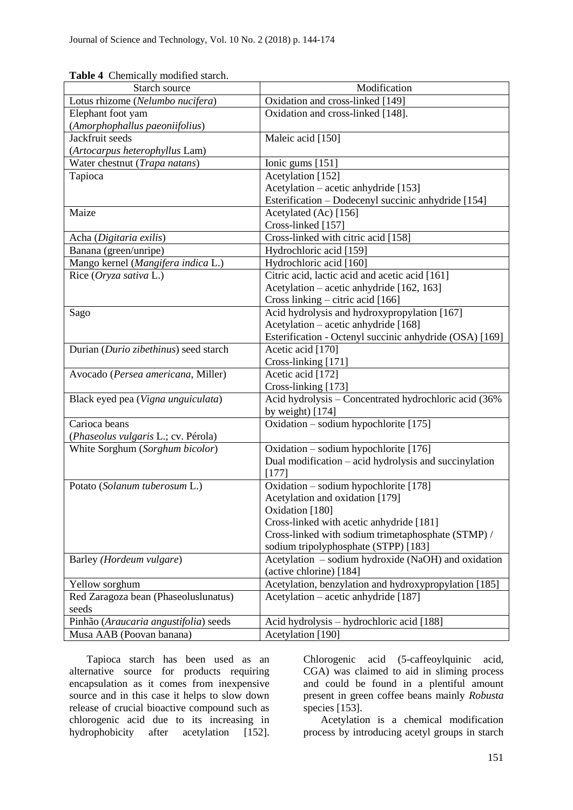| <b>rapic +</b> Chemically modified statem.<br>Starch source | Modification                                                                 |
|-------------------------------------------------------------|------------------------------------------------------------------------------|
| Lotus rhizome (Nelumbo nucifera)                            | Oxidation and cross-linked [149]                                             |
| Elephant foot yam                                           | Oxidation and cross-linked [148].                                            |
| (Amorphophallus paeoniifolius)                              |                                                                              |
| Jackfruit seeds                                             | Maleic acid [150]                                                            |
| (Artocarpus heterophyllus Lam)                              |                                                                              |
| Water chestnut (Trapa natans)                               | Ionic gums [151]                                                             |
|                                                             | Acetylation [152]                                                            |
| Tapioca                                                     |                                                                              |
|                                                             | Acetylation – acetic anhydride [153]                                         |
| Maize                                                       | Esterification - Dodecenyl succinic anhydride [154]<br>Acetylated (Ac) [156] |
|                                                             | Cross-linked [157]                                                           |
|                                                             |                                                                              |
| Acha (Digitaria exilis)                                     | Cross-linked with citric acid [158]                                          |
| Banana (green/unripe)                                       | Hydrochloric acid [159]                                                      |
| Mango kernel (Mangifera indica L.)                          | Hydrochloric acid [160]                                                      |
| Rice (Oryza sativa L.)                                      | Citric acid, lactic acid and acetic acid [161]                               |
|                                                             | Acetylation – acetic anhydride [162, 163]                                    |
|                                                             | Cross linking – citric acid [166]                                            |
| Sago                                                        | Acid hydrolysis and hydroxypropylation [167]                                 |
|                                                             | Acetylation – acetic anhydride [168]                                         |
|                                                             | Esterification - Octenyl succinic anhydride (OSA) [169]                      |
| Durian (Durio zibethinus) seed starch                       | Acetic acid [170]                                                            |
|                                                             | Cross-linking [171]                                                          |
| Avocado (Persea americana, Miller)                          | Acetic acid [172]                                                            |
|                                                             | Cross-linking [173]                                                          |
| Black eyed pea (Vigna unguiculata)                          | Acid hydrolysis - Concentrated hydrochloric acid (36%                        |
|                                                             | by weight) $[174]$                                                           |
| Carioca beans                                               | Oxidation – sodium hypochlorite [175]                                        |
| (Phaseolus vulgaris L.; cv. Pérola)                         |                                                                              |
| White Sorghum (Sorghum bicolor)                             | Oxidation – sodium hypochlorite [176]                                        |
|                                                             | Dual modification – acid hydrolysis and succinylation                        |
|                                                             | [177]                                                                        |
| Potato (Solanum tuberosum L.)                               | Oxidation – sodium hypochlorite [178]                                        |
|                                                             | Acetylation and oxidation [179]                                              |
|                                                             | Oxidation [180]                                                              |
|                                                             | Cross-linked with acetic anhydride [181]                                     |
|                                                             | Cross-linked with sodium trimetaphosphate (STMP) /                           |
|                                                             | sodium tripolyphosphate (STPP) [183]                                         |
| Barley (Hordeum vulgare)                                    | Acetylation – sodium hydroxide (NaOH) and oxidation                          |
|                                                             | (active chlorine) [184]                                                      |
| Yellow sorghum                                              | Acetylation, benzylation and hydroxypropylation [185]                        |
| Red Zaragoza bean (Phaseoluslunatus)                        | Acetylation – acetic anhydride [187]                                         |
| seeds                                                       |                                                                              |
| Pinhão (Araucaria angustifolia) seeds                       | Acid hydrolysis – hydrochloric acid [188]                                    |
| Musa AAB (Poovan banana)                                    | Acetylation [190]                                                            |

**Table 4** Chemically modified starch.

Tapioca starch has been used as an alternative source for products requiring encapsulation as it comes from inexpensive source and in this case it helps to slow down release of crucial bioactive compound such as chlorogenic acid due to its increasing in hydrophobicity after acetylation [152].

Chlorogenic acid (5-caffeoylquinic acid, CGA) was claimed to aid in sliming process and could be found in a plentiful amount present in green coffee beans mainly *Robusta* species [153].

Acetylation is a chemical modification process by introducing acetyl groups in starch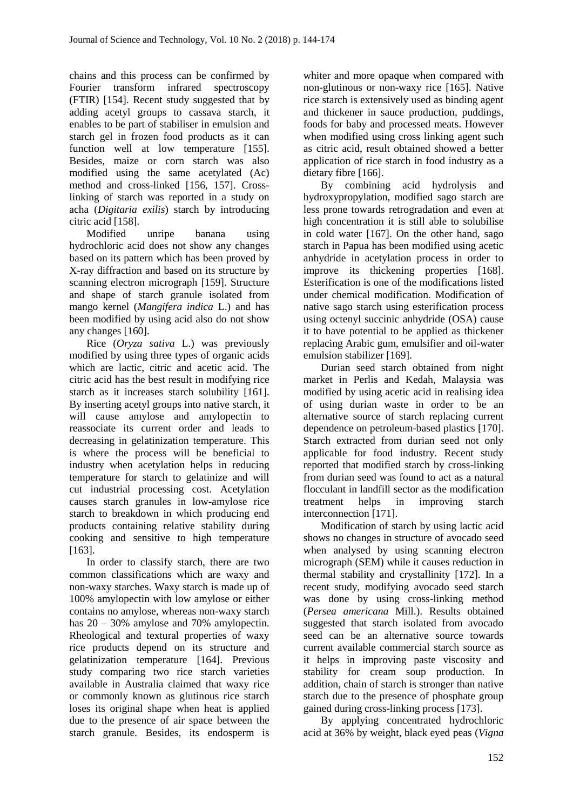chains and this process can be confirmed by Fourier transform infrared spectroscopy (FTIR) [154]. Recent study suggested that by adding acetyl groups to cassava starch, it enables to be part of stabiliser in emulsion and starch gel in frozen food products as it can function well at low temperature [155]. Besides, maize or corn starch was also modified using the same acetylated (Ac) method and cross-linked [156, 157]. Crosslinking of starch was reported in a study on acha (*Digitaria exilis*) starch by introducing citric acid [158].

Modified unripe banana using hydrochloric acid does not show any changes based on its pattern which has been proved by X-ray diffraction and based on its structure by scanning electron micrograph [159]. Structure and shape of starch granule isolated from mango kernel (*Mangifera indica* L.) and has been modified by using acid also do not show any changes [160].

Rice (*Oryza sativa* L.) was previously modified by using three types of organic acids which are lactic, citric and acetic acid. The citric acid has the best result in modifying rice starch as it increases starch solubility [161]. By inserting acetyl groups into native starch, it will cause amylose and amylopectin to reassociate its current order and leads to decreasing in gelatinization temperature. This is where the process will be beneficial to industry when acetylation helps in reducing temperature for starch to gelatinize and will cut industrial processing cost. Acetylation causes starch granules in low-amylose rice starch to breakdown in which producing end products containing relative stability during cooking and sensitive to high temperature [163].

In order to classify starch, there are two common classifications which are waxy and non-waxy starches. Waxy starch is made up of 100% amylopectin with low amylose or either contains no amylose, whereas non-waxy starch has 20 – 30% amylose and 70% amylopectin. Rheological and textural properties of waxy rice products depend on its structure and gelatinization temperature [164]. Previous study comparing two rice starch varieties available in Australia claimed that waxy rice or commonly known as glutinous rice starch loses its original shape when heat is applied due to the presence of air space between the starch granule. Besides, its endosperm is whiter and more opaque when compared with non-glutinous or non-waxy rice [165]. Native rice starch is extensively used as binding agent and thickener in sauce production, puddings, foods for baby and processed meats. However when modified using cross linking agent such as citric acid, result obtained showed a better application of rice starch in food industry as a dietary fibre [166].

By combining acid hydrolysis and hydroxypropylation, modified sago starch are less prone towards retrogradation and even at high concentration it is still able to solubilise in cold water [167]. On the other hand, sago starch in Papua has been modified using acetic anhydride in acetylation process in order to improve its thickening properties [168]. Esterification is one of the modifications listed under chemical modification. Modification of native sago starch using esterification process using octenyl succinic anhydride (OSA) cause it to have potential to be applied as thickener replacing Arabic gum, emulsifier and oil-water emulsion stabilizer [169].

Durian seed starch obtained from night market in Perlis and Kedah, Malaysia was modified by using acetic acid in realising idea of using durian waste in order to be an alternative source of starch replacing current dependence on petroleum-based plastics [170]. Starch extracted from durian seed not only applicable for food industry. Recent study reported that modified starch by cross-linking from durian seed was found to act as a natural flocculant in landfill sector as the modification treatment helps in improving starch interconnection [171].

Modification of starch by using lactic acid shows no changes in structure of avocado seed when analysed by using scanning electron micrograph (SEM) while it causes reduction in thermal stability and crystallinity [172]. In a recent study, modifying avocado seed starch was done by using cross-linking method (*Persea americana* Mill.). Results obtained suggested that starch isolated from avocado seed can be an alternative source towards current available commercial starch source as it helps in improving paste viscosity and stability for cream soup production. In addition, chain of starch is stronger than native starch due to the presence of phosphate group gained during cross-linking process [173].

By applying concentrated hydrochloric acid at 36% by weight, black eyed peas (*Vigna*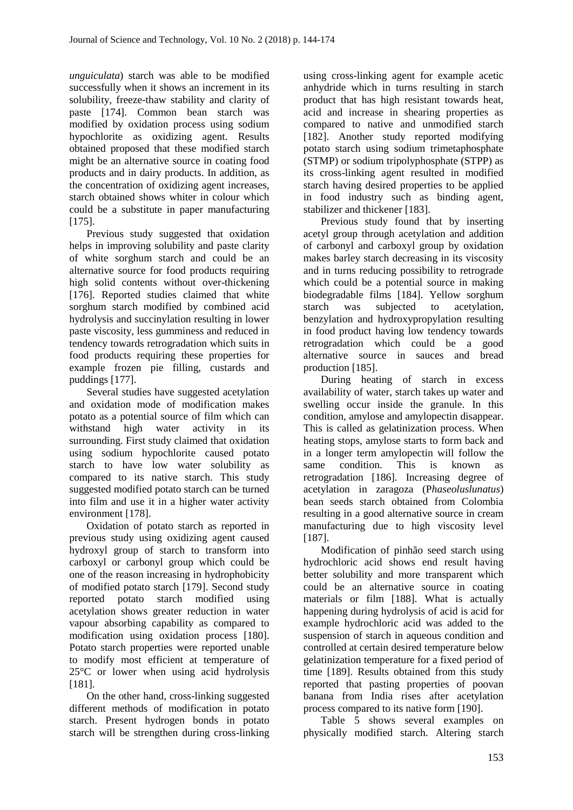*unguiculata*) starch was able to be modified successfully when it shows an increment in its solubility, freeze-thaw stability and clarity of paste [174]. Common bean starch was modified by oxidation process using sodium hypochlorite as oxidizing agent. Results obtained proposed that these modified starch might be an alternative source in coating food products and in dairy products. In addition, as the concentration of oxidizing agent increases, starch obtained shows whiter in colour which could be a substitute in paper manufacturing [175].

Previous study suggested that oxidation helps in improving solubility and paste clarity of white sorghum starch and could be an alternative source for food products requiring high solid contents without over-thickening [176]. Reported studies claimed that white sorghum starch modified by combined acid hydrolysis and succinylation resulting in lower paste viscosity, less gumminess and reduced in tendency towards retrogradation which suits in food products requiring these properties for example frozen pie filling, custards and puddings [177].

Several studies have suggested acetylation and oxidation mode of modification makes potato as a potential source of film which can withstand high water activity in its surrounding. First study claimed that oxidation using sodium hypochlorite caused potato starch to have low water solubility as compared to its native starch. This study suggested modified potato starch can be turned into film and use it in a higher water activity environment [178].

Oxidation of potato starch as reported in previous study using oxidizing agent caused hydroxyl group of starch to transform into carboxyl or carbonyl group which could be one of the reason increasing in hydrophobicity of modified potato starch [179]. Second study reported potato starch modified using acetylation shows greater reduction in water vapour absorbing capability as compared to modification using oxidation process [180]. Potato starch properties were reported unable to modify most efficient at temperature of 25°C or lower when using acid hydrolysis [181].

On the other hand, cross-linking suggested different methods of modification in potato starch. Present hydrogen bonds in potato starch will be strengthen during cross-linking

using cross-linking agent for example acetic anhydride which in turns resulting in starch product that has high resistant towards heat, acid and increase in shearing properties as compared to native and unmodified starch [182]. Another study reported modifying potato starch using sodium trimetaphosphate (STMP) or sodium tripolyphosphate (STPP) as its cross-linking agent resulted in modified starch having desired properties to be applied in food industry such as binding agent, stabilizer and thickener [183].

Previous study found that by inserting acetyl group through acetylation and addition of carbonyl and carboxyl group by oxidation makes barley starch decreasing in its viscosity and in turns reducing possibility to retrograde which could be a potential source in making biodegradable films [184]. Yellow sorghum starch was subjected to acetylation, benzylation and hydroxypropylation resulting in food product having low tendency towards retrogradation which could be a good alternative source in sauces and bread production [185].

During heating of starch in excess availability of water, starch takes up water and swelling occur inside the granule. In this condition, amylose and amylopectin disappear. This is called as gelatinization process. When heating stops, amylose starts to form back and in a longer term amylopectin will follow the same condition. This is known as retrogradation [186]. Increasing degree of acetylation in zaragoza (P*haseoluslunatus*) bean seeds starch obtained from Colombia resulting in a good alternative source in cream manufacturing due to high viscosity level [187].

Modification of pinhão seed starch using hydrochloric acid shows end result having better solubility and more transparent which could be an alternative source in coating materials or film [188]. What is actually happening during hydrolysis of acid is acid for example hydrochloric acid was added to the suspension of starch in aqueous condition and controlled at certain desired temperature below gelatinization temperature for a fixed period of time [189]. Results obtained from this study reported that pasting properties of poovan banana from India rises after acetylation process compared to its native form [190].

Table 5 shows several examples on physically modified starch. Altering starch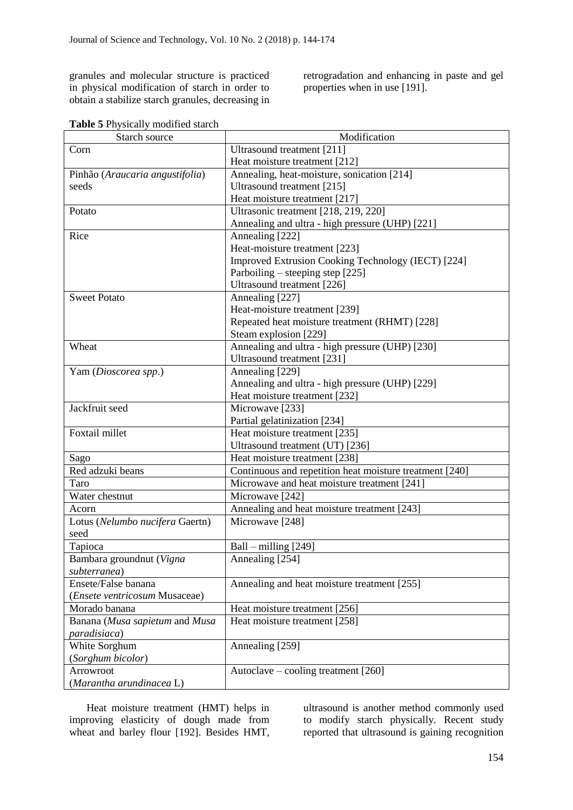granules and molecular structure is practiced in physical modification of starch in order to obtain a stabilize starch granules, decreasing in retrogradation and enhancing in paste and gel properties when in use [191].

|  |  | Table 5 Physically modified starch |  |
|--|--|------------------------------------|--|
|--|--|------------------------------------|--|

| Starch source                   | Modification                                            |
|---------------------------------|---------------------------------------------------------|
| Corn                            | Ultrasound treatment [211]                              |
|                                 | Heat moisture treatment [212]                           |
| Pinhão (Araucaria angustifolia) | Annealing, heat-moisture, sonication [214]              |
| seeds                           | Ultrasound treatment [215]                              |
|                                 | Heat moisture treatment [217]                           |
| Potato                          | Ultrasonic treatment [218, 219, 220]                    |
|                                 | Annealing and ultra - high pressure (UHP) [221]         |
| Rice                            | Annealing [222]                                         |
|                                 | Heat-moisture treatment [223]                           |
|                                 | Improved Extrusion Cooking Technology (IECT) [224]      |
|                                 | Parboiling – steeping step [225]                        |
|                                 | Ultrasound treatment [226]                              |
| <b>Sweet Potato</b>             | Annealing [227]                                         |
|                                 | Heat-moisture treatment [239]                           |
|                                 | Repeated heat moisture treatment (RHMT) [228]           |
|                                 | Steam explosion [229]                                   |
| Wheat                           | Annealing and ultra - high pressure (UHP) [230]         |
|                                 | Ultrasound treatment [231]                              |
| Yam (Dioscorea spp.)            | Annealing [229]                                         |
|                                 | Annealing and ultra - high pressure (UHP) [229]         |
|                                 | Heat moisture treatment [232]                           |
| Jackfruit seed                  | Microwave [233]                                         |
|                                 | Partial gelatinization [234]                            |
| Foxtail millet                  | Heat moisture treatment [235]                           |
|                                 | Ultrasound treatment (UT) [236]                         |
| Sago                            | Heat moisture treatment [238]                           |
| Red adzuki beans                | Continuous and repetition heat moisture treatment [240] |
| Taro                            | Microwave and heat moisture treatment [241]             |
| Water chestnut                  | Microwave [242]                                         |
| Acorn                           | Annealing and heat moisture treatment [243]             |
| Lotus (Nelumbo nucifera Gaertn) | Microwave [248]                                         |
| seed                            |                                                         |
| Tapioca                         | Ball – milling $[249]$                                  |
| Bambara groundnut (Vigna        | Annealing [254]                                         |
| subterranea)                    |                                                         |
| Ensete/False banana             | Annealing and heat moisture treatment [255]             |
| (Ensete ventricosum Musaceae)   |                                                         |
| Morado banana                   | Heat moisture treatment [256]                           |
| Banana (Musa sapietum and Musa  | Heat moisture treatment [258]                           |
| paradisiaca)                    |                                                         |
| White Sorghum                   | Annealing [259]                                         |
| (Sorghum bicolor)               |                                                         |
| Arrowroot                       | Autoclave – cooling treatment [260]                     |
| (Marantha arundinacea L)        |                                                         |

Heat moisture treatment (HMT) helps in improving elasticity of dough made from wheat and barley flour [192]. Besides HMT, ultrasound is another method commonly used to modify starch physically. Recent study reported that ultrasound is gaining recognition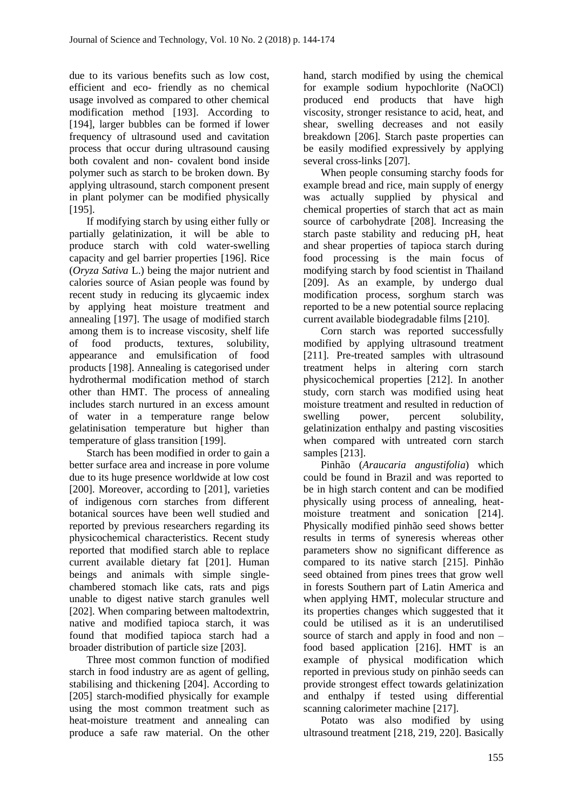due to its various benefits such as low cost, efficient and eco- friendly as no chemical usage involved as compared to other chemical modification method [193]. According to [194], larger bubbles can be formed if lower frequency of ultrasound used and cavitation process that occur during ultrasound causing both covalent and non- covalent bond inside polymer such as starch to be broken down. By applying ultrasound, starch component present in plant polymer can be modified physically [195].

If modifying starch by using either fully or partially gelatinization, it will be able to produce starch with cold water-swelling capacity and gel barrier properties [196]. Rice (*Oryza Sativa* L.) being the major nutrient and calories source of Asian people was found by recent study in reducing its glycaemic index by applying heat moisture treatment and annealing [197]. The usage of modified starch among them is to increase viscosity, shelf life of food products, textures, solubility, appearance and emulsification of food products [198]. Annealing is categorised under hydrothermal modification method of starch other than HMT. The process of annealing includes starch nurtured in an excess amount of water in a temperature range below gelatinisation temperature but higher than temperature of glass transition [199].

Starch has been modified in order to gain a better surface area and increase in pore volume due to its huge presence worldwide at low cost [200]. Moreover, according to [201], varieties of indigenous corn starches from different botanical sources have been well studied and reported by previous researchers regarding its physicochemical characteristics. Recent study reported that modified starch able to replace current available dietary fat [201]. Human beings and animals with simple singlechambered stomach like cats, rats and pigs unable to digest native starch granules well [202]. When comparing between maltodextrin, native and modified tapioca starch, it was found that modified tapioca starch had a broader distribution of particle size [203].

Three most common function of modified starch in food industry are as agent of gelling, stabilising and thickening [204]. According to [205] starch-modified physically for example using the most common treatment such as heat-moisture treatment and annealing can produce a safe raw material. On the other

hand, starch modified by using the chemical for example sodium hypochlorite (NaOCl) produced end products that have high viscosity, stronger resistance to acid, heat, and shear, swelling decreases and not easily breakdown [206]. Starch paste properties can be easily modified expressively by applying several cross-links [207].

When people consuming starchy foods for example bread and rice, main supply of energy was actually supplied by physical and chemical properties of starch that act as main source of carbohydrate [208]. Increasing the starch paste stability and reducing pH, heat and shear properties of tapioca starch during food processing is the main focus of modifying starch by food scientist in Thailand [209]. As an example, by undergo dual modification process, sorghum starch was reported to be a new potential source replacing current available biodegradable films [210].

Corn starch was reported successfully modified by applying ultrasound treatment [211]. Pre-treated samples with ultrasound treatment helps in altering corn starch physicochemical properties [212]. In another study, corn starch was modified using heat moisture treatment and resulted in reduction of swelling power, percent solubility, gelatinization enthalpy and pasting viscosities when compared with untreated corn starch samples [213].

Pinhão (*Araucaria angustifolia*) which could be found in Brazil and was reported to be in high starch content and can be modified physically using process of annealing, heatmoisture treatment and sonication [214]. Physically modified pinhão seed shows better results in terms of syneresis whereas other parameters show no significant difference as compared to its native starch [215]. Pinhão seed obtained from pines trees that grow well in forests Southern part of Latin America and when applying HMT, molecular structure and its properties changes which suggested that it could be utilised as it is an underutilised source of starch and apply in food and non – food based application [216]. HMT is an example of physical modification which reported in previous study on pinhão seeds can provide strongest effect towards gelatinization and enthalpy if tested using differential scanning calorimeter machine [217].

Potato was also modified by using ultrasound treatment [218, 219, 220]. Basically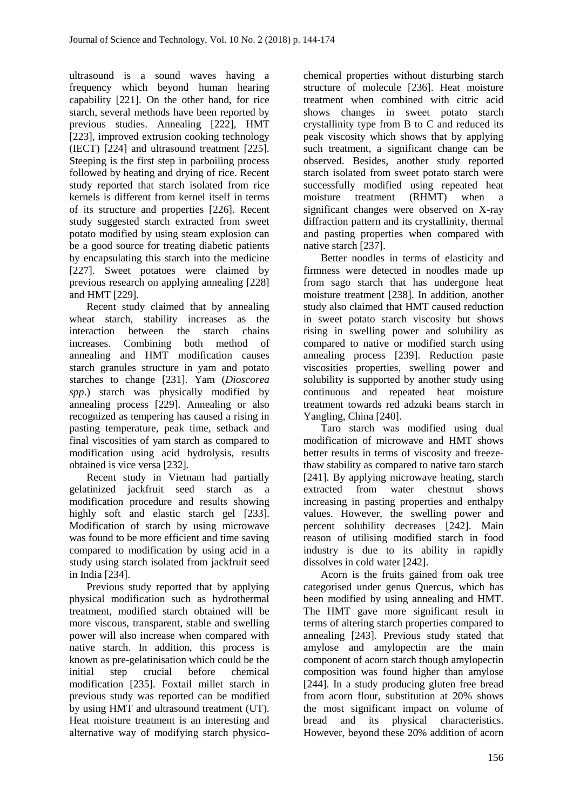ultrasound is a sound waves having a frequency which beyond human hearing capability [221]. On the other hand, for rice starch, several methods have been reported by previous studies. Annealing [222], HMT [223], improved extrusion cooking technology (IECT) [224] and ultrasound treatment [225]. Steeping is the first step in parboiling process followed by heating and drying of rice. Recent study reported that starch isolated from rice kernels is different from kernel itself in terms of its structure and properties [226]. Recent study suggested starch extracted from sweet potato modified by using steam explosion can be a good source for treating diabetic patients by encapsulating this starch into the medicine [227]. Sweet potatoes were claimed by previous research on applying annealing [228] and HMT [229].

Recent study claimed that by annealing wheat starch, stability increases as the interaction between the starch chains increases. Combining both method of annealing and HMT modification causes starch granules structure in yam and potato starches to change [231]. Yam (*Dioscorea spp*.) starch was physically modified by annealing process [229]. Annealing or also recognized as tempering has caused a rising in pasting temperature, peak time, setback and final viscosities of yam starch as compared to modification using acid hydrolysis, results obtained is vice versa [232].

Recent study in Vietnam had partially gelatinized jackfruit seed starch as a modification procedure and results showing highly soft and elastic starch gel [233]. Modification of starch by using microwave was found to be more efficient and time saving compared to modification by using acid in a study using starch isolated from jackfruit seed in India [234].

Previous study reported that by applying physical modification such as hydrothermal treatment, modified starch obtained will be more viscous, transparent, stable and swelling power will also increase when compared with native starch. In addition, this process is known as pre-gelatinisation which could be the initial step crucial before chemical modification [235]. Foxtail millet starch in previous study was reported can be modified by using HMT and ultrasound treatment (UT). Heat moisture treatment is an interesting and alternative way of modifying starch physicochemical properties without disturbing starch structure of molecule [236]. Heat moisture treatment when combined with citric acid shows changes in sweet potato starch crystallinity type from B to C and reduced its peak viscosity which shows that by applying such treatment, a significant change can be observed. Besides, another study reported starch isolated from sweet potato starch were successfully modified using repeated heat moisture treatment (RHMT) when a significant changes were observed on X-ray diffraction pattern and its crystallinity, thermal and pasting properties when compared with native starch [237].

Better noodles in terms of elasticity and firmness were detected in noodles made up from sago starch that has undergone heat moisture treatment [238]. In addition, another study also claimed that HMT caused reduction in sweet potato starch viscosity but shows rising in swelling power and solubility as compared to native or modified starch using annealing process [239]. Reduction paste viscosities properties, swelling power and solubility is supported by another study using continuous and repeated heat moisture treatment towards red adzuki beans starch in Yangling, China [240].

Taro starch was modified using dual modification of microwave and HMT shows better results in terms of viscosity and freezethaw stability as compared to native taro starch [241]. By applying microwave heating, starch extracted from water chestnut shows increasing in pasting properties and enthalpy values. However, the swelling power and percent solubility decreases [242]. Main reason of utilising modified starch in food industry is due to its ability in rapidly dissolves in cold water [242].

Acorn is the fruits gained from oak tree categorised under genus Quercus, which has been modified by using annealing and HMT. The HMT gave more significant result in terms of altering starch properties compared to annealing [243]. Previous study stated that amylose and amylopectin are the main component of acorn starch though amylopectin composition was found higher than amylose [244]. In a study producing gluten free bread from acorn flour, substitution at 20% shows the most significant impact on volume of bread and its physical characteristics. However, beyond these 20% addition of acorn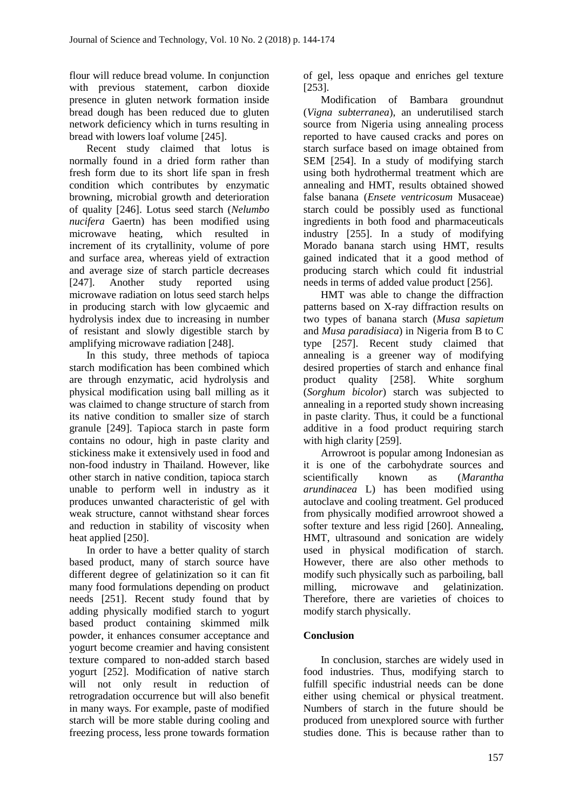flour will reduce bread volume. In conjunction with previous statement, carbon dioxide presence in gluten network formation inside bread dough has been reduced due to gluten network deficiency which in turns resulting in bread with lowers loaf volume [245].

Recent study claimed that lotus is normally found in a dried form rather than fresh form due to its short life span in fresh condition which contributes by enzymatic browning, microbial growth and deterioration of quality [246]. Lotus seed starch (*Nelumbo nucifera* Gaertn) has been modified using microwave heating, which resulted in increment of its crytallinity, volume of pore and surface area, whereas yield of extraction and average size of starch particle decreases [247]. Another study reported using microwave radiation on lotus seed starch helps in producing starch with low glycaemic and hydrolysis index due to increasing in number of resistant and slowly digestible starch by amplifying microwave radiation [248].

In this study, three methods of tapioca starch modification has been combined which are through enzymatic, acid hydrolysis and physical modification using ball milling as it was claimed to change structure of starch from its native condition to smaller size of starch granule [249]. Tapioca starch in paste form contains no odour, high in paste clarity and stickiness make it extensively used in food and non-food industry in Thailand. However, like other starch in native condition, tapioca starch unable to perform well in industry as it produces unwanted characteristic of gel with weak structure, cannot withstand shear forces and reduction in stability of viscosity when heat applied [250].

In order to have a better quality of starch based product, many of starch source have different degree of gelatinization so it can fit many food formulations depending on product needs [251]. Recent study found that by adding physically modified starch to yogurt based product containing skimmed milk powder, it enhances consumer acceptance and yogurt become creamier and having consistent texture compared to non-added starch based yogurt [252]. Modification of native starch will not only result in reduction of retrogradation occurrence but will also benefit in many ways. For example, paste of modified starch will be more stable during cooling and freezing process, less prone towards formation of gel, less opaque and enriches gel texture [253].

Modification of Bambara groundnut (*Vigna subterranea*), an underutilised starch source from Nigeria using annealing process reported to have caused cracks and pores on starch surface based on image obtained from SEM [254]. In a study of modifying starch using both hydrothermal treatment which are annealing and HMT, results obtained showed false banana (*Ensete ventricosum* Musaceae) starch could be possibly used as functional ingredients in both food and pharmaceuticals industry [255]. In a study of modifying Morado banana starch using HMT, results gained indicated that it a good method of producing starch which could fit industrial needs in terms of added value product [256].

HMT was able to change the diffraction patterns based on X-ray diffraction results on two types of banana starch (*Musa sapietum* and *Musa paradisiaca*) in Nigeria from B to C type [257]. Recent study claimed that annealing is a greener way of modifying desired properties of starch and enhance final product quality [258]. White sorghum (*Sorghum bicolor*) starch was subjected to annealing in a reported study shown increasing in paste clarity. Thus, it could be a functional additive in a food product requiring starch with high clarity [259].

Arrowroot is popular among Indonesian as it is one of the carbohydrate sources and scientifically known as (*Marantha arundinacea* L) has been modified using autoclave and cooling treatment. Gel produced from physically modified arrowroot showed a softer texture and less rigid [260]. Annealing, HMT, ultrasound and sonication are widely used in physical modification of starch. However, there are also other methods to modify such physically such as parboiling, ball milling, microwave and gelatinization. Therefore, there are varieties of choices to modify starch physically.

# **Conclusion**

In conclusion, starches are widely used in food industries. Thus, modifying starch to fulfill specific industrial needs can be done either using chemical or physical treatment. Numbers of starch in the future should be produced from unexplored source with further studies done. This is because rather than to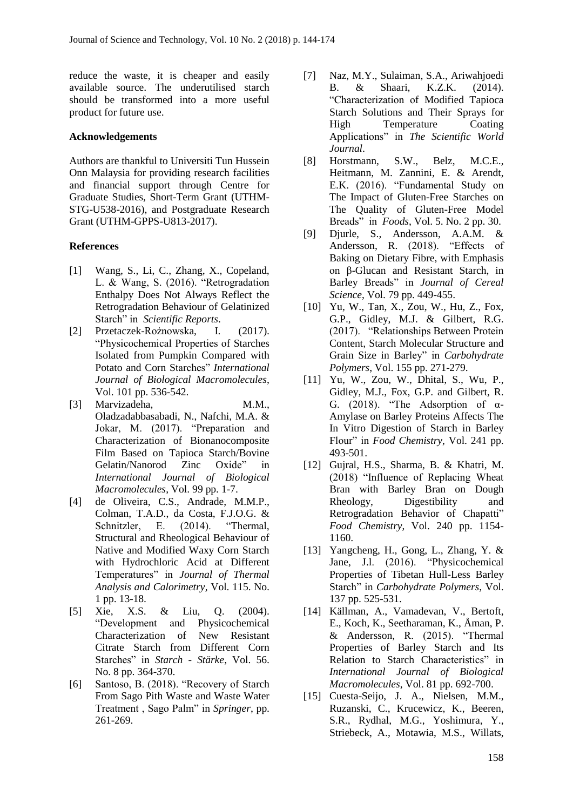reduce the waste, it is cheaper and easily available source. The underutilised starch should be transformed into a more useful product for future use.

#### **Acknowledgements**

Authors are thankful to Universiti Tun Hussein Onn Malaysia for providing research facilities and financial support through Centre for Graduate Studies, Short-Term Grant (UTHM-STG-U538-2016), and Postgraduate Research Grant (UTHM-GPPS-U813-2017).

#### **References**

- [1] Wang, S., Li, C., Zhang, X., Copeland, L. & Wang, S. (2016). "Retrogradation Enthalpy Does Not Always Reflect the Retrogradation Behaviour of Gelatinized Starch" in *Scientific Reports*.
- [2] Przetaczek-Rożnowska, I. (2017). "Physicochemical Properties of Starches Isolated from Pumpkin Compared with Potato and Corn Starches" *International Journal of Biological Macromolecules*, Vol. 101 pp. 536-542.
- [3] Marvizadeha, M.M., Oladzadabbasabadi, N., Nafchi, M.A. & Jokar, M. (2017). "Preparation and Characterization of Bionanocomposite Film Based on Tapioca Starch/Bovine Gelatin/Nanorod Zinc Oxide" in *International Journal of Biological Macromolecules*, Vol. 99 pp. 1-7.
- [4] de Oliveira, C.S., Andrade, M.M.P., Colman, T.A.D., da Costa, F.J.O.G. & Schnitzler, E. (2014). "Thermal, Structural and Rheological Behaviour of Native and Modified Waxy Corn Starch with Hydrochloric Acid at Different Temperatures" in *Journal of Thermal Analysis and Calorimetry*, Vol. 115. No. 1 pp. 13-18.
- [5] Xie, X.S. & Liu, Q. (2004). "Development and Physicochemical Characterization of New Resistant Citrate Starch from Different Corn Starches" in *Starch - Stärke*, Vol. 56. No. 8 pp. 364-370.
- [6] Santoso, B. (2018). "Recovery of Starch From Sago Pith Waste and Waste Water Treatment , Sago Palm" in *Springer*, pp. 261-269.
- [7] Naz, M.Y., Sulaiman, S.A., Ariwahjoedi B. & Shaari, K.Z.K. (2014). "Characterization of Modified Tapioca Starch Solutions and Their Sprays for High Temperature Coating Applications" in *The Scientific World Journal*.
- [8] Horstmann, S.W., Belz, M.C.E., Heitmann, M. Zannini, E. & Arendt, E.K. (2016). "Fundamental Study on The Impact of Gluten-Free Starches on The Quality of Gluten-Free Model Breads" in *Foods*, Vol. 5. No. 2 pp. 30.
- [9] Djurle, S., Andersson, A.A.M. & Andersson, R. (2018). "Effects of Baking on Dietary Fibre, with Emphasis on β-Glucan and Resistant Starch, in Barley Breads" in *Journal of Cereal Science*, Vol. 79 pp. 449-455.
- [10] Yu, W., Tan, X., Zou, W., Hu, Z., Fox, G.P., Gidley, M.J. & Gilbert, R.G. (2017). "Relationships Between Protein Content, Starch Molecular Structure and Grain Size in Barley" in *Carbohydrate Polymers*, Vol. 155 pp. 271-279.
- [11] Yu, W., Zou, W., Dhital, S., Wu, P., Gidley, M.J., Fox, G.P. and Gilbert, R. G. (2018). "The Adsorption of  $\alpha$ -Amylase on Barley Proteins Affects The In Vitro Digestion of Starch in Barley Flour" in *Food Chemistry*, Vol. 241 pp. 493-501.
- [12] Gujral, H.S., Sharma, B. & Khatri, M. (2018) "Influence of Replacing Wheat Bran with Barley Bran on Dough Rheology, Digestibility and Retrogradation Behavior of Chapatti" *Food Chemistry*, Vol. 240 pp. 1154- 1160.
- [13] Yangcheng, H., Gong, L., Zhang, Y. & Jane, J.l. (2016). "Physicochemical Properties of Tibetan Hull-Less Barley Starch" in *Carbohydrate Polymers*, Vol. 137 pp. 525-531.
- [14] Källman, A., Vamadevan, V., Bertoft, E., Koch, K., Seetharaman, K., Åman, P. & Andersson, R. (2015). "Thermal Properties of Barley Starch and Its Relation to Starch Characteristics" in *International Journal of Biological Macromolecules*, Vol. 81 pp. 692-700.
- [15] Cuesta-Seijo, J. A., Nielsen, M.M., Ruzanski, C., Krucewicz, K., Beeren, S.R., Rydhal, M.G., Yoshimura, Y., Striebeck, A., Motawia, M.S., Willats,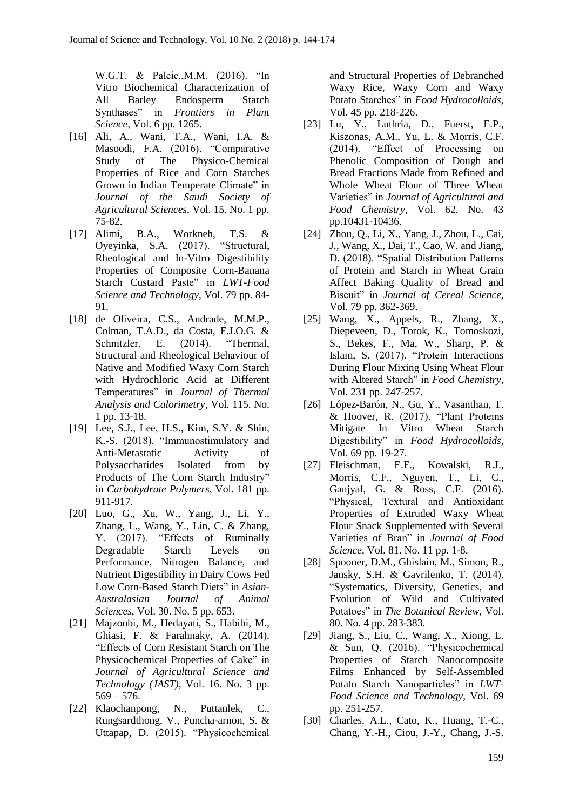W.G.T. & Palcic.,M.M. (2016). "In Vitro Biochemical Characterization of All Barley Endosperm Starch Synthases" in *Frontiers in Plant Science*, Vol. 6 pp. 1265.

- [16] Ali, A., Wani, T.A., Wani, I.A. & Masoodi, F.A. (2016). "Comparative Study of The Physico-Chemical Properties of Rice and Corn Starches Grown in Indian Temperate Climate" in *Journal of the Saudi Society of Agricultural Sciences*, Vol. 15. No. 1 pp. 75-82.
- [17] Alimi, B.A., Workneh, T.S. & Oyeyinka, S.A. (2017). "Structural, Rheological and In-Vitro Digestibility Properties of Composite Corn-Banana Starch Custard Paste" in *LWT-Food Science and Technology*, Vol. 79 pp. 84- 91.
- [18] de Oliveira, C.S., Andrade, M.M.P., Colman, T.A.D., da Costa, F.J.O.G. & Schnitzler, E. (2014). "Thermal, Structural and Rheological Behaviour of Native and Modified Waxy Corn Starch with Hydrochloric Acid at Different Temperatures" in *Journal of Thermal Analysis and Calorimetry*, Vol. 115. No. 1 pp. 13-18.
- [19] Lee, S.J., Lee, H.S., Kim, S.Y. & Shin, K.-S. (2018). "Immunostimulatory and Anti-Metastatic Activity of Polysaccharides Isolated from by Products of The Corn Starch Industry" in *Carbohydrate Polymers*, Vol. 181 pp. 911-917.
- [20] Luo, G., Xu, W., Yang, J., Li, Y., Zhang, L., Wang, Y., Lin, C. & Zhang, Y. (2017). "Effects of Ruminally Degradable Starch Levels on Performance, Nitrogen Balance, and Nutrient Digestibility in Dairy Cows Fed Low Corn-Based Starch Diets" in *Asian-Australasian Journal of Animal Sciences*, Vol. 30. No. 5 pp. 653.
- [21] Majzoobi, M., Hedayati, S., Habibi, M., Ghiasi, F. & Farahnaky, A. (2014). "Effects of Corn Resistant Starch on The Physicochemical Properties of Cake" in *Journal of Agricultural Science and Technology (JAST)*, Vol. 16. No. 3 pp.  $569 - 576.$
- [22] Klaochanpong, N., Puttanlek, C., Rungsardthong, V., Puncha-arnon, S. & Uttapap, D. (2015). "Physicochemical

and Structural Properties of Debranched Waxy Rice, Waxy Corn and Waxy Potato Starches" in *Food Hydrocolloids*, Vol. 45 pp. 218-226.

- [23] Lu, Y., Luthria, D., Fuerst, E.P., Kiszonas, A.M., Yu, L. & Morris, C.F. (2014). "Effect of Processing on Phenolic Composition of Dough and Bread Fractions Made from Refined and Whole Wheat Flour of Three Wheat Varieties" in *Journal of Agricultural and Food Chemistry*, Vol. 62. No. 43 pp.10431-10436.
- [24] Zhou, Q., Li, X., Yang, J., Zhou, L., Cai, J., Wang, X., Dai, T., Cao, W. and Jiang, D. (2018). "Spatial Distribution Patterns of Protein and Starch in Wheat Grain Affect Baking Quality of Bread and Biscuit" in *Journal of Cereal Science*, Vol. 79 pp. 362-369.
- [25] Wang, X., Appels, R., Zhang, X., Diepeveen, D., Torok, K., Tomoskozi, S., Bekes, F., Ma, W., Sharp, P. & Islam, S. (2017). "Protein Interactions During Flour Mixing Using Wheat Flour with Altered Starch" in *Food Chemistry*, Vol. 231 pp. 247-257.
- [26] López-Barón, N., Gu, Y., Vasanthan, T. & Hoover, R. (2017). "Plant Proteins Mitigate In Vitro Wheat Starch Digestibility" in *Food Hydrocolloids*, Vol. 69 pp. 19-27.
- [27] Fleischman, E.F., Kowalski, R.J., Morris, C.F., Nguyen, T., Li, C., Ganjyal, G. & Ross, C.F. (2016). "Physical, Textural and Antioxidant Properties of Extruded Waxy Wheat Flour Snack Supplemented with Several Varieties of Bran" in *Journal of Food Science*, Vol. 81. No. 11 pp. 1-8.
- [28] Spooner, D.M., Ghislain, M., Simon, R., Jansky, S.H. & Gavrilenko, T. (2014). "Systematics, Diversity, Genetics, and Evolution of Wild and Cultivated Potatoes" in *The Botanical Review*, Vol. 80. No. 4 pp. 283-383.
- [29] Jiang, S., Liu, C., Wang, X., Xiong, L. & Sun, Q. (2016). "Physicochemical Properties of Starch Nanocomposite Films Enhanced by Self-Assembled Potato Starch Nanoparticles" in *LWT-Food Science and Technology*, Vol. 69 pp. 251-257.
- [30] Charles, A.L., Cato, K., Huang, T.-C., Chang, Y.-H., Ciou, J.-Y., Chang, J.-S.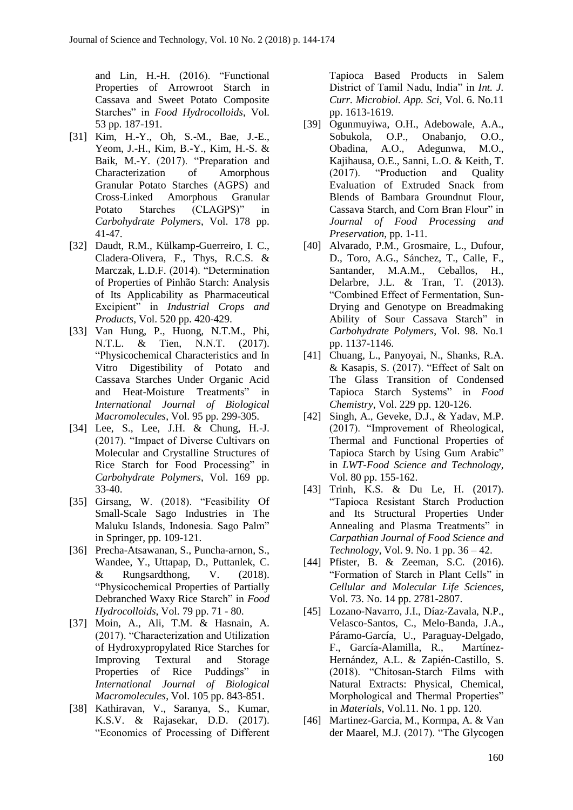and Lin, H.-H. (2016). "Functional Properties of Arrowroot Starch in Cassava and Sweet Potato Composite Starches" in *Food Hydrocolloids*, Vol. 53 pp. 187-191.

- [31] Kim, H.-Y., Oh, S.-M., Bae, J.-E., Yeom, J.-H., Kim, B.-Y., Kim, H.-S. & Baik, M.-Y. (2017). "Preparation and Characterization of Amorphous Granular Potato Starches (AGPS) and Cross-Linked Amorphous Granular Potato Starches (CLAGPS)" in *Carbohydrate Polymers*, Vol. 178 pp. 41-47.
- [32] Daudt, R.M., Külkamp-Guerreiro, I. C., Cladera-Olivera, F., Thys, R.C.S. & Marczak, L.D.F. (2014). "Determination of Properties of Pinhão Starch: Analysis of Its Applicability as Pharmaceutical Excipient" in *Industrial Crops and Products*, Vol. 520 pp. 420-429.
- [33] Van Hung, P., Huong, N.T.M., Phi, N.T.L. & Tien, N.N.T. (2017). "Physicochemical Characteristics and In Vitro Digestibility of Potato and Cassava Starches Under Organic Acid and Heat-Moisture Treatments" in *International Journal of Biological Macromolecules*, Vol. 95 pp. 299-305.
- [34] Lee, S., Lee, J.H. & Chung, H.-J. (2017). "Impact of Diverse Cultivars on Molecular and Crystalline Structures of Rice Starch for Food Processing" in *Carbohydrate Polymers*, Vol. 169 pp. 33-40.
- [35] Girsang, W. (2018). "Feasibility Of Small-Scale Sago Industries in The Maluku Islands, Indonesia. Sago Palm" in Springer, pp. 109-121.
- [36] Precha-Atsawanan, S., Puncha-arnon, S., Wandee, Y., Uttapap, D., Puttanlek, C. & Rungsardthong, V. (2018). "Physicochemical Properties of Partially Debranched Waxy Rice Starch" in *Food Hydrocolloids*, Vol. 79 pp. 71 - 80.
- [37] Moin, A., Ali, T.M. & Hasnain, A. (2017). "Characterization and Utilization of Hydroxypropylated Rice Starches for Improving Textural and Storage Properties of Rice Puddings" in *International Journal of Biological Macromolecules*, Vol. 105 pp. 843-851.
- [38] Kathiravan, V., Saranya, S., Kumar, K.S.V. & Rajasekar, D.D. (2017). "Economics of Processing of Different

Tapioca Based Products in Salem District of Tamil Nadu, India" in *Int. J. Curr. Microbiol. App. Sci*, Vol. 6. No.11 pp. 1613-1619.

- [39] Ogunmuyiwa, O.H., Adebowale, A.A., Sobukola, O.P., Onabanjo, O.O., Obadina, A.O., Adegunwa, M.O., Kajihausa, O.E., Sanni, L.O. & Keith, T. (2017). "Production and Quality Evaluation of Extruded Snack from Blends of Bambara Groundnut Flour, Cassava Starch, and Corn Bran Flour" in *Journal of Food Processing and Preservation*, pp. 1-11.
- [40] Alvarado, P.M., Grosmaire, L., Dufour, D., Toro, A.G., Sánchez, T., Calle, F., Santander, M.A.M., Ceballos, H., Delarbre, J.L. & Tran, T. (2013). "Combined Effect of Fermentation, Sun-Drying and Genotype on Breadmaking Ability of Sour Cassava Starch" in *Carbohydrate Polymers*, Vol. 98. No.1 pp. 1137-1146.
- [41] Chuang, L., Panyoyai, N., Shanks, R.A. & Kasapis, S. (2017). "Effect of Salt on The Glass Transition of Condensed Tapioca Starch Systems" in *Food Chemistry*, Vol. 229 pp. 120-126.
- [42] Singh, A., Geveke, D.J., & Yadav, M.P. (2017). "Improvement of Rheological, Thermal and Functional Properties of Tapioca Starch by Using Gum Arabic" in *LWT-Food Science and Technology*, Vol. 80 pp. 155-162.
- [43] Trinh, K.S. & Du Le, H. (2017). "Tapioca Resistant Starch Production and Its Structural Properties Under Annealing and Plasma Treatments" in *Carpathian Journal of Food Science and Technology*, Vol. 9. No. 1 pp. 36 – 42.
- [44] Pfister, B. & Zeeman, S.C. (2016). "Formation of Starch in Plant Cells" in *Cellular and Molecular Life Sciences*, Vol. 73. No. 14 pp. 2781-2807.
- [45] Lozano-Navarro, J.I., Díaz-Zavala, N.P., Velasco-Santos, C., Melo-Banda, J.A., Páramo-García, U., Paraguay-Delgado, F., García-Alamilla, R., Martínez-Hernández, A.L. & Zapién-Castillo, S. (2018). "Chitosan-Starch Films with Natural Extracts: Physical, Chemical, Morphological and Thermal Properties" in *Materials*, Vol.11. No. 1 pp. 120.
- [46] Martinez-Garcia, M., Kormpa, A. & Van der Maarel, M.J. (2017). "The Glycogen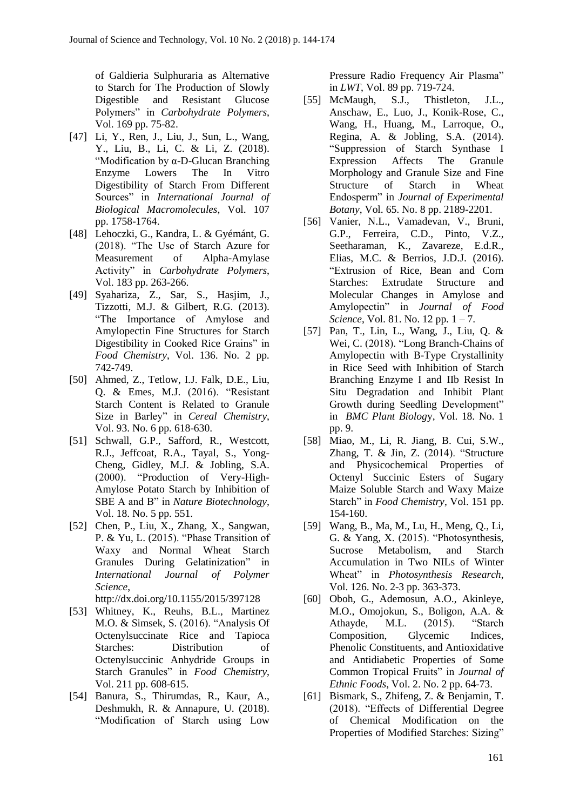of Galdieria Sulphuraria as Alternative to Starch for The Production of Slowly Digestible and Resistant Glucose Polymers" in *Carbohydrate Polymers*, Vol. 169 pp. 75-82.

- [47] Li, Y., Ren, J., Liu, J., Sun, L., Wang, Y., Liu, B., Li, C. & Li, Z. (2018). "Modification by α-D-Glucan Branching Enzyme Lowers The In Vitro Digestibility of Starch From Different Sources" in *International Journal of Biological Macromolecules*, Vol. 107 pp. 1758-1764.
- [48] Lehoczki, G., Kandra, L. & Gyémánt, G. (2018). "The Use of Starch Azure for Measurement of Alpha-Amylase Activity" in *Carbohydrate Polymers*, Vol. 183 pp. 263-266.
- [49] Syahariza, Z., Sar, S., Hasjim, J., Tizzotti, M.J. & Gilbert, R.G. (2013). "The Importance of Amylose and Amylopectin Fine Structures for Starch Digestibility in Cooked Rice Grains" in *Food Chemistry*, Vol. 136. No. 2 pp. 742-749.
- [50] Ahmed, Z., Tetlow, I.J. Falk, D.E., Liu, Q. & Emes, M.J. (2016). "Resistant Starch Content is Related to Granule Size in Barley" in *Cereal Chemistry*, Vol. 93. No. 6 pp. 618-630.
- [51] Schwall, G.P., Safford, R., Westcott, R.J., Jeffcoat, R.A., Tayal, S., Yong-Cheng, Gidley, M.J. & Jobling, S.A. (2000). "Production of Very-High-Amylose Potato Starch by Inhibition of SBE A and B" in *Nature Biotechnology*, Vol. 18. No. 5 pp. 551.
- [52] Chen, P., Liu, X., Zhang, X., Sangwan, P. & Yu, L. (2015). "Phase Transition of Waxy and Normal Wheat Starch Granules During Gelatinization" in *International Journal of Polymer Science*,

http://dx.doi.org/10.1155/2015/397128

- [53] Whitney, K., Reuhs, B.L., Martinez M.O. & Simsek, S. (2016). "Analysis Of Octenylsuccinate Rice and Tapioca Starches: Distribution of Octenylsuccinic Anhydride Groups in Starch Granules" in *Food Chemistry*, Vol. 211 pp. 608-615.
- [54] Banura, S., Thirumdas, R., Kaur, A., Deshmukh, R. & Annapure, U. (2018). "Modification of Starch using Low

Pressure Radio Frequency Air Plasma" in *LWT*, Vol. 89 pp. 719-724.

- [55] McMaugh, S.J., Thistleton, J.L., Anschaw, E., Luo, J., Konik-Rose, C., Wang, H., Huang, M., Larroque, O., Regina, A. & Jobling, S.A. (2014). "Suppression of Starch Synthase I Expression Affects The Granule Morphology and Granule Size and Fine Structure of Starch in Wheat Endosperm" in *Journal of Experimental Botany*, Vol. 65. No. 8 pp. 2189-2201.
- [56] Vanier, N.L., Vamadevan, V., Bruni, G.P., Ferreira, C.D., Pinto, V.Z., Seetharaman, K., Zavareze, E.d.R., Elias, M.C. & Berrios, J.D.J. (2016). "Extrusion of Rice, Bean and Corn Starches: Extrudate Structure and Molecular Changes in Amylose and Amylopectin" in *Journal of Food Science*, Vol. 81. No. 12 pp. 1 – 7.
- [57] Pan, T., Lin, L., Wang, J., Liu, Q. & Wei, C. (2018). "Long Branch-Chains of Amylopectin with B-Type Crystallinity in Rice Seed with Inhibition of Starch Branching Enzyme I and IIb Resist In Situ Degradation and Inhibit Plant Growth during Seedling Development" in *BMC Plant Biolog*y, Vol. 18. No. 1 pp. 9.
- [58] Miao, M., Li, R. Jiang, B. Cui, S.W., Zhang, T. & Jin, Z. (2014). "Structure and Physicochemical Properties of Octenyl Succinic Esters of Sugary Maize Soluble Starch and Waxy Maize Starch" in *Food Chemistry*, Vol. 151 pp. 154-160.
- [59] Wang, B., Ma, M., Lu, H., Meng, Q., Li, G. & Yang, X. (2015). "Photosynthesis, Sucrose Metabolism, and Starch Accumulation in Two NILs of Winter Wheat" in *Photosynthesis Research*, Vol. 126. No. 2-3 pp. 363-373.
- [60] Oboh, G., Ademosun, A.O., Akinleye, M.O., Omojokun, S., Boligon, A.A. & Athayde, M.L. (2015). "Starch Composition, Glycemic Indices, Phenolic Constituents, and Antioxidative and Antidiabetic Properties of Some Common Tropical Fruits" in *Journal of Ethnic Foods*, Vol. 2. No. 2 pp. 64-73.
- [61] Bismark, S., Zhifeng, Z. & Benjamin, T. (2018). "Effects of Differential Degree of Chemical Modification on the Properties of Modified Starches: Sizing"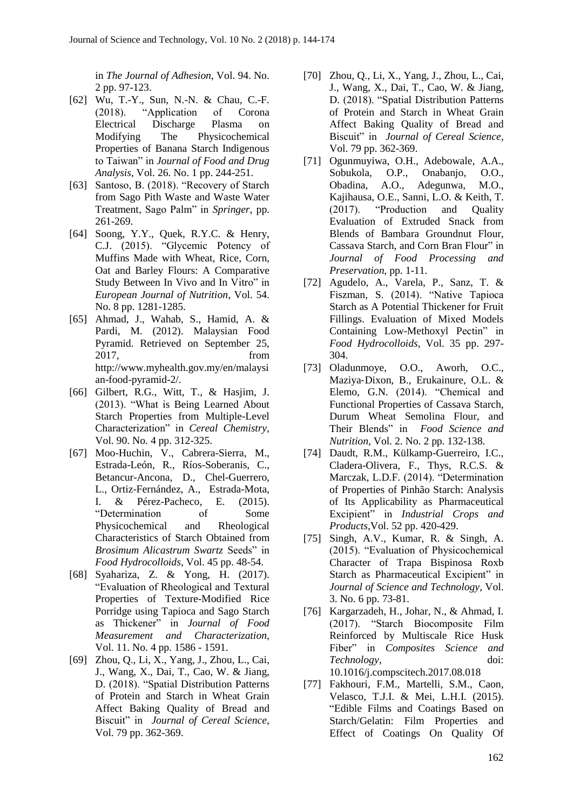in *The Journal of Adhesion*, Vol. 94. No. 2 pp. 97-123.

- [62] Wu, T.-Y., Sun, N.-N. & Chau, C.-F. (2018). "Application of Corona Electrical Discharge Plasma on Modifying The Physicochemical Properties of Banana Starch Indigenous to Taiwan" in *Journal of Food and Drug Analysis*, Vol. 26. No. 1 pp. 244-251.
- [63] Santoso, B. (2018). "Recovery of Starch from Sago Pith Waste and Waste Water Treatment, Sago Palm" in *Springer*, pp. 261-269.
- [64] Soong, Y.Y., Quek, R.Y.C. & Henry, C.J. (2015). "Glycemic Potency of Muffins Made with Wheat, Rice, Corn, Oat and Barley Flours: A Comparative Study Between In Vivo and In Vitro" in *European Journal of Nutrition*, Vol. 54. No. 8 pp. 1281-1285.
- [65] Ahmad, J., Wahab, S., Hamid, A. & Pardi, M. (2012). Malaysian Food Pyramid. Retrieved on September 25, 2017, from http://www.myhealth.gov.my/en/malaysi an-food-pyramid-2/.
- [66] Gilbert, R.G., Witt, T., & Hasjim, J. (2013). "What is Being Learned About Starch Properties from Multiple-Level Characterization" in *Cereal Chemistry*, Vol. 90. No. 4 pp. 312-325.
- [67] Moo-Huchin, V., Cabrera-Sierra, M., Estrada-León, R., Ríos-Soberanis, C., Betancur-Ancona, D., Chel-Guerrero, L., Ortiz-Fernández, A., Estrada-Mota, I. & Pérez-Pacheco, E. (2015). "Determination of Some Physicochemical and Rheological Characteristics of Starch Obtained from *Brosimum Alicastrum Swartz* Seeds" in *Food Hydrocolloids*, Vol. 45 pp. 48-54.
- [68] Syahariza, Z. & Yong, H. (2017). "Evaluation of Rheological and Textural Properties of Texture-Modified Rice Porridge using Tapioca and Sago Starch as Thickener" in *Journal of Food Measurement and Characterization*, Vol. 11. No. 4 pp. 1586 - 1591.
- [69] Zhou, Q., Li, X., Yang, J., Zhou, L., Cai, J., Wang, X., Dai, T., Cao, W. & Jiang, D. (2018). "Spatial Distribution Patterns of Protein and Starch in Wheat Grain Affect Baking Quality of Bread and Biscuit" in *Journal of Cereal Science*, Vol. 79 pp. 362-369.
- [70] Zhou, Q., Li, X., Yang, J., Zhou, L., Cai, J., Wang, X., Dai, T., Cao, W. & Jiang, D. (2018). "Spatial Distribution Patterns of Protein and Starch in Wheat Grain Affect Baking Quality of Bread and Biscuit" in *Journal of Cereal Science*, Vol. 79 pp. 362-369.
- [71] Ogunmuyiwa, O.H., Adebowale, A.A., Sobukola, O.P., Onabanjo, O.O., Obadina, A.O., Adegunwa, M.O., Kajihausa, O.E., Sanni, L.O. & Keith, T. (2017). "Production and Quality Evaluation of Extruded Snack from Blends of Bambara Groundnut Flour, Cassava Starch, and Corn Bran Flour" in *Journal of Food Processing and Preservation*, pp. 1-11.
- [72] Agudelo, A., Varela, P., Sanz, T. & Fiszman, S. (2014). "Native Tapioca Starch as A Potential Thickener for Fruit Fillings. Evaluation of Mixed Models Containing Low-Methoxyl Pectin" in *Food Hydrocolloids*, Vol. 35 pp. 297- 304.
- [73] Oladunmoye, O.O., Aworh, O.C., Maziya‐Dixon, B., Erukainure, O.L. & Elemo, G.N. (2014). "Chemical and Functional Properties of Cassava Starch, Durum Wheat Semolina Flour, and Their Blends" in *Food Science and Nutrition*, Vol. 2. No. 2 pp. 132-138.
- [74] Daudt, R.M., Külkamp-Guerreiro, I.C., Cladera-Olivera, F., Thys, R.C.S. & Marczak, L.D.F. (2014). "Determination of Properties of Pinhão Starch: Analysis of Its Applicability as Pharmaceutical Excipient" in *Industrial Crops and Products*,Vol. 52 pp. 420-429.
- [75] Singh, A.V., Kumar, R. & Singh, A. (2015). "Evaluation of Physicochemical Character of Trapa Bispinosa Roxb Starch as Pharmaceutical Excipient" in *Journal of Science and Technology*, Vol. 3. No. 6 pp. 73-81.
- [76] Kargarzadeh, H., Johar, N., & Ahmad, I. (2017). "Starch Biocomposite Film Reinforced by Multiscale Rice Husk Fiber" in *Composites Science and Technology*, doi: 10.1016/j.compscitech.2017.08.018
- [77] Fakhouri, F.M., Martelli, S.M., Caon, Velasco, T.J.I. & Mei, L.H.I. (2015). "Edible Films and Coatings Based on Starch/Gelatin: Film Properties and Effect of Coatings On Quality Of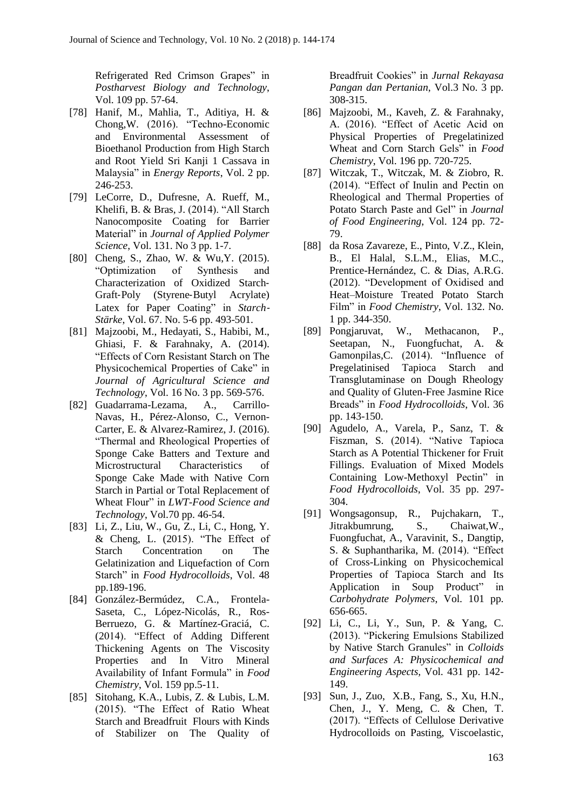Refrigerated Red Crimson Grapes" in *Postharvest Biology and Technology*, Vol. 109 pp. 57-64.

- [78] Hanif, M., Mahlia, T., Aditiya, H. & Chong,W. (2016). "Techno-Economic and Environmental Assessment of Bioethanol Production from High Starch and Root Yield Sri Kanji 1 Cassava in Malaysia" in *Energy Reports*, Vol. 2 pp. 246-253.
- [79] LeCorre, D., Dufresne, A. Rueff, M., Khelifi, B. & Bras, J. (2014). "All Starch Nanocomposite Coating for Barrier Material" in *Journal of Applied Polymer Science*, Vol. 131. No 3 pp. 1-7.
- [80] Cheng, S., Zhao, W. & Wu, Y. (2015). "Optimization of Synthesis and Characterization of Oxidized Starch‐ Graft‐Poly (Styrene‐Butyl Acrylate) Latex for Paper Coating" in *Starch*‐ *Stärke*, Vol. 67. No. 5-6 pp. 493-501.
- [81] Majzoobi, M., Hedayati, S., Habibi, M., Ghiasi, F. & Farahnaky, A. (2014). "Effects of Corn Resistant Starch on The Physicochemical Properties of Cake" in *Journal of Agricultural Science and Technology*, Vol. 16 No. 3 pp. 569-576.
- [82] Guadarrama-Lezama, A., Carrillo-Navas, H., Pérez-Alonso, C., Vernon-Carter, E. & Alvarez-Ramirez, J. (2016). "Thermal and Rheological Properties of Sponge Cake Batters and Texture and Microstructural Characteristics of Sponge Cake Made with Native Corn Starch in Partial or Total Replacement of Wheat Flour" in *LWT-Food Science and Technology*, Vol.70 pp. 46-54.
- [83] Li, Z., Liu, W., Gu, Z., Li, C., Hong, Y. & Cheng, L. (2015). "The Effect of Starch Concentration on The Gelatinization and Liquefaction of Corn Starch" in *Food Hydrocolloids*, Vol. 48 pp.189-196.
- [84] González-Bermúdez, C.A., Frontela-Saseta, C., López-Nicolás, R., Ros-Berruezo, G. & Martínez-Graciá, C. (2014). "Effect of Adding Different Thickening Agents on The Viscosity Properties and In Vitro Mineral Availability of Infant Formula" in *Food Chemistry*, Vol. 159 pp.5-11.
- [85] Sitohang, K.A., Lubis, Z. & Lubis, L.M. (2015). "The Effect of Ratio Wheat Starch and Breadfruit Flours with Kinds of Stabilizer on The Quality of

Breadfruit Cookies" in *Jurnal Rekayasa Pangan dan Pertanian*, Vol.3 No. 3 pp. 308-315.

- [86] Majzoobi, M., Kaveh, Z. & Farahnaky, A. (2016). "Effect of Acetic Acid on Physical Properties of Pregelatinized Wheat and Corn Starch Gels" in *Food Chemistry*, Vol. 196 pp. 720-725.
- [87] Witczak, T., Witczak, M. & Ziobro, R. (2014). "Effect of Inulin and Pectin on Rheological and Thermal Properties of Potato Starch Paste and Gel" in *Journal of Food Engineering*, Vol. 124 pp. 72- 79.
- [88] da Rosa Zavareze, E., Pinto, V.Z., Klein, B., El Halal, S.L.M., Elias, M.C., Prentice-Hernández, C. & Dias, A.R.G. (2012). "Development of Oxidised and Heat–Moisture Treated Potato Starch Film" in *Food Chemistry*, Vol. 132. No. 1 pp. 344-350.
- [89] Pongjaruvat, W., Methacanon, P., Seetapan, N., Fuongfuchat, A. & Gamonpilas,C. (2014). "Influence of Pregelatinised Tapioca Starch and Transglutaminase on Dough Rheology and Quality of Gluten-Free Jasmine Rice Breads" in *Food Hydrocolloids*, Vol. 36 pp. 143-150.
- [90] Agudelo, A., Varela, P., Sanz, T. & Fiszman, S. (2014). "Native Tapioca Starch as A Potential Thickener for Fruit Fillings. Evaluation of Mixed Models Containing Low-Methoxyl Pectin" in *Food Hydrocolloids*, Vol. 35 pp. 297- 304.
- [91] Wongsagonsup, R., Pujchakarn, T., Jitrakbumrung, S., Chaiwat,W., Fuongfuchat, A., Varavinit, S., Dangtip, S. & Suphantharika, M. (2014). "Effect of Cross-Linking on Physicochemical Properties of Tapioca Starch and Its Application in Soup Product" in *Carbohydrate Polymers*, Vol. 101 pp. 656-665.
- [92] Li, C., Li, Y., Sun, P. & Yang, C. (2013). "Pickering Emulsions Stabilized by Native Starch Granules" in *Colloids and Surfaces A: Physicochemical and Engineering Aspects,* Vol. 431 pp. 142- 149.
- [93] Sun, J., Zuo, X.B., Fang, S., Xu, H.N., Chen, J., Y. Meng, C. & Chen, T. (2017). "Effects of Cellulose Derivative Hydrocolloids on Pasting, Viscoelastic,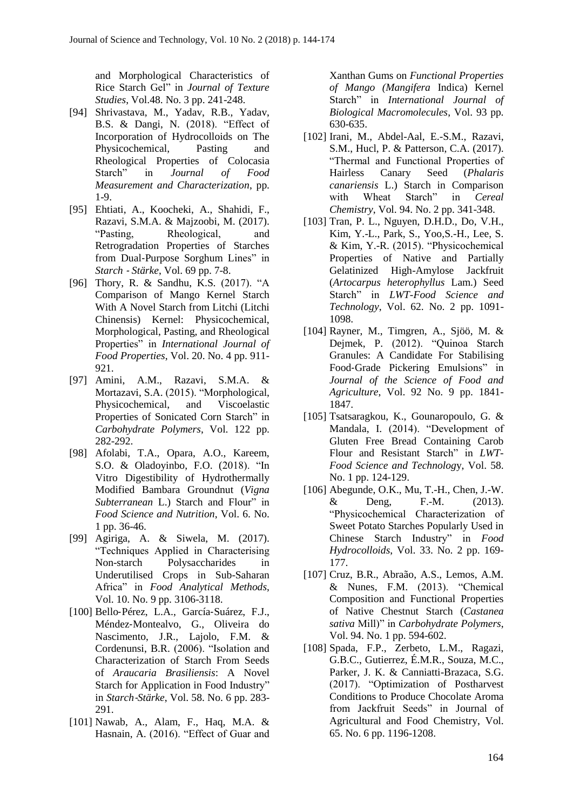and Morphological Characteristics of Rice Starch Gel" in *Journal of Texture Studies*, Vol.48. No. 3 pp. 241-248.

- [94] Shrivastava, M., Yadav, R.B., Yadav, B.S. & Dangi, N. (2018). "Effect of Incorporation of Hydrocolloids on The Physicochemical, Pasting and Rheological Properties of Colocasia Starch" in *Journal of Food Measurement and Characterization*, pp. 1-9.
- [95] Ehtiati, A., Koocheki, A., Shahidi, F., Razavi, S.M.A. & Majzoobi, M. (2017). "Pasting, Rheological, and Retrogradation Properties of Starches from Dual-Purpose Sorghum Lines" in *Starch* ‐ *Stärke*, Vol. 69 pp. 7-8.
- [96] Thory, R. & Sandhu, K.S. (2017). "A Comparison of Mango Kernel Starch With A Novel Starch from Litchi (Litchi Chinensis) Kernel: Physicochemical, Morphological, Pasting, and Rheological Properties" in *International Journal of Food Properties*, Vol. 20. No. 4 pp. 911- 921.
- [97] Amini, A.M., Razavi, S.M.A. & Mortazavi, S.A. (2015). "Morphological, Physicochemical, and Viscoelastic Properties of Sonicated Corn Starch" in *Carbohydrate Polymers*, Vol. 122 pp. 282-292.
- [98] Afolabi, T.A., Opara, A.O., Kareem, S.O. & Oladoyinbo, F.O. (2018). "In Vitro Digestibility of Hydrothermally Modified Bambara Groundnut (*Vigna Subterranean* L.) Starch and Flour" in *Food Science and Nutrition*, Vol. 6. No. 1 pp. 36-46.
- [99] Agiriga, A. & Siwela, M. (2017). "Techniques Applied in Characterising Non-starch Polysaccharides in Underutilised Crops in Sub-Saharan Africa" in *Food Analytical Methods*, Vol. 10. No. 9 pp. 3106-3118.
- [100] Bello‐Pérez, L.A., García‐Suárez, F.J., Méndez‐Montealvo, G., Oliveira do Nascimento, J.R., Lajolo, F.M. & Cordenunsi, B.R. (2006). "Isolation and Characterization of Starch From Seeds of *Araucaria Brasiliensis*: A Novel Starch for Application in Food Industry" in *Starch*‐*Stärke*, Vol. 58. No. 6 pp. 283- 291.
- [101] Nawab, A., Alam, F., Haq, M.A. & Hasnain, A. (2016). "Effect of Guar and

Xanthan Gums on *Functional Properties of Mango (Mangifera* Indica) Kernel Starch" in *International Journal of Biological Macromolecules*, Vol. 93 pp. 630-635.

- [102] Irani, M., Abdel-Aal, E.-S.M., Razavi, S.M., Hucl, P. & Patterson, C.A. (2017). "Thermal and Functional Properties of Hairless Canary Seed (*Phalaris canariensis* L.) Starch in Comparison with Wheat Starch" in *Cereal Chemistry*, Vol. 94. No. 2 pp. 341-348.
- [103] Tran, P. L., Nguyen, D.H.D., Do, V.H., Kim, Y.-L., Park, S., Yoo,S.-H., Lee, S. & Kim, Y.-R. (2015). "Physicochemical Properties of Native and Partially Gelatinized High-Amylose Jackfruit (*Artocarpus heterophyllus* Lam.) Seed Starch" in *LWT-Food Science and Technology*, Vol. 62. No. 2 pp. 1091- 1098.
- [104] Rayner, M., Timgren, A., Sjöö, M. & Dejmek, P. (2012). "Quinoa Starch Granules: A Candidate For Stabilising Food‐Grade Pickering Emulsions" in *Journal of the Science of Food and Agriculture*, Vol. 92 No. 9 pp. 1841- 1847.
- [105] Tsatsaragkou, K., Gounaropoulo, G. & Mandala, I. (2014). "Development of Gluten Free Bread Containing Carob Flour and Resistant Starch" in *LWT-Food Science and Technolog*y, Vol. 58. No. 1 pp. 124-129.
- [106] Abegunde, O.K., Mu, T.-H., Chen, J.-W. & Deng, F.-M. (2013). "Physicochemical Characterization of Sweet Potato Starches Popularly Used in Chinese Starch Industry" in *Food Hydrocolloids*, Vol. 33. No. 2 pp. 169- 177.
- [107] Cruz, B.R., Abraão, A.S., Lemos, A.M. & Nunes, F.M. (2013). "Chemical Composition and Functional Properties of Native Chestnut Starch (*Castanea sativa* Mill)" in *Carbohydrate Polymers*, Vol. 94. No. 1 pp. 594-602.
- [108] Spada, F.P., Zerbeto, L.M., Ragazi, G.B.C., Gutierrez, É.M.R., Souza, M.C., Parker, J. K. & Canniatti-Brazaca, S.G. (2017). "Optimization of Postharvest Conditions to Produce Chocolate Aroma from Jackfruit Seeds" in Journal of Agricultural and Food Chemistry, Vol. 65. No. 6 pp. 1196-1208.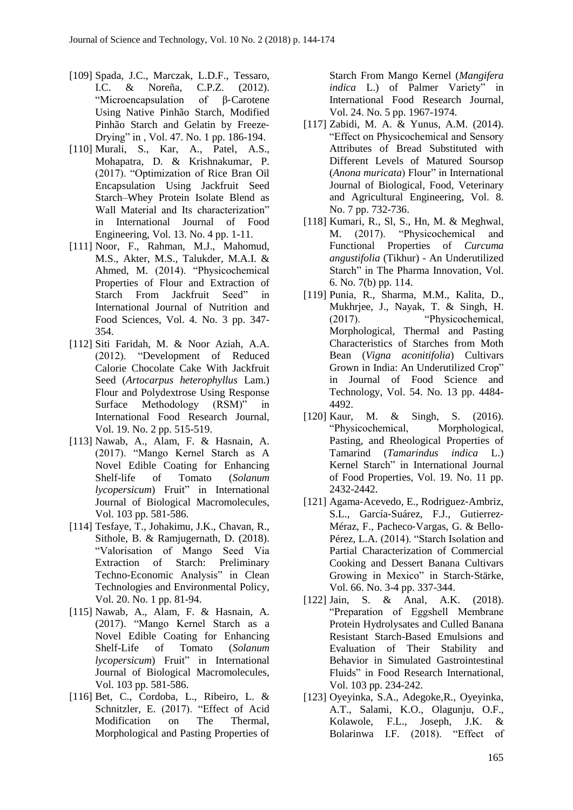- [109] Spada, J.C., Marczak, L.D.F., Tessaro, I.C. & Noreña, C.P.Z. (2012). "Microencapsulation of β‐Carotene Using Native Pinhão Starch, Modified Pinhão Starch and Gelatin by Freeze‐ Drying" in , Vol. 47. No. 1 pp. 186-194.
- [110] Murali, S., Kar, A., Patel, A.S., Mohapatra, D. & Krishnakumar, P. (2017). "Optimization of Rice Bran Oil Encapsulation Using Jackfruit Seed Starch–Whey Protein Isolate Blend as Wall Material and Its characterization" in International Journal of Food Engineering, Vol. 13. No. 4 pp. 1-11.
- [111] Noor, F., Rahman, M.J., Mahomud, M.S., Akter, M.S., Talukder, M.A.I. & Ahmed, M. (2014). "Physicochemical Properties of Flour and Extraction of Starch From Jackfruit Seed" in International Journal of Nutrition and Food Sciences, Vol. 4. No. 3 pp. 347- 354.
- [112] Siti Faridah, M. & Noor Aziah, A.A. (2012). "Development of Reduced Calorie Chocolate Cake With Jackfruit Seed (*Artocarpus heterophyllus* Lam.) Flour and Polydextrose Using Response Surface Methodology (RSM)" in International Food Research Journal, Vol. 19. No. 2 pp. 515-519.
- [113] Nawab, A., Alam, F. & Hasnain, A. (2017). "Mango Kernel Starch as A Novel Edible Coating for Enhancing Shelf-life of Tomato (*Solanum lycopersicum*) Fruit" in International Journal of Biological Macromolecules, Vol. 103 pp. 581-586.
- [114] Tesfaye, T., Johakimu, J.K., Chavan, R., Sithole, B. & Ramjugernath, D. (2018). "Valorisation of Mango Seed Via Extraction of Starch: Preliminary Techno-Economic Analysis" in Clean Technologies and Environmental Policy, Vol. 20. No. 1 pp. 81-94.
- [115] Nawab, A., Alam, F. & Hasnain, A. (2017). "Mango Kernel Starch as a Novel Edible Coating for Enhancing Shelf-Life of Tomato (*Solanum lycopersicum*) Fruit" in International Journal of Biological Macromolecules, Vol. 103 pp. 581-586.
- [116] Bet, C., Cordoba, L., Ribeiro, L. & Schnitzler, E. (2017). "Effect of Acid Modification on The Thermal, Morphological and Pasting Properties of

Starch From Mango Kernel (*Mangifera indica* L.) of Palmer Variety" in International Food Research Journal, Vol. 24. No. 5 pp. 1967-1974.

- [117] Zabidi, M. A. & Yunus, A.M. (2014). "Effect on Physicochemical and Sensory Attributes of Bread Substituted with Different Levels of Matured Soursop (*Anona muricata*) Flour" in International Journal of Biological, Food, Veterinary and Agricultural Engineering, Vol. 8. No. 7 pp. 732-736.
- [118] Kumari, R., Sl, S., Hn, M. & Meghwal, M. (2017). "Physicochemical and Functional Properties of *Curcuma angustifolia* (Tikhur) - An Underutilized Starch" in The Pharma Innovation, Vol. 6. No. 7(b) pp. 114.
- [119] Punia, R., Sharma, M.M., Kalita, D., Mukhrjee, J., Nayak, T. & Singh, H. (2017). "Physicochemical, Morphological, Thermal and Pasting Characteristics of Starches from Moth Bean (*Vigna aconitifolia*) Cultivars Grown in India: An Underutilized Crop" in Journal of Food Science and Technology, Vol. 54. No. 13 pp. 4484- 4492.
- [120] Kaur, M. & Singh, S. (2016). "Physicochemical, Morphological, Pasting, and Rheological Properties of Tamarind (*Tamarindus indica* L.) Kernel Starch" in International Journal of Food Properties, Vol. 19. No. 11 pp. 2432-2442.
- [121] Agama‐Acevedo, E., Rodriguez‐Ambriz, S.L., García‐Suárez, F.J., Gutierrez‐ Méraz, F., Pacheco‐Vargas, G. & Bello‐ Pérez, L.A. (2014). "Starch Isolation and Partial Characterization of Commercial Cooking and Dessert Banana Cultivars Growing in Mexico" in Starch‐Stärke, Vol. 66. No. 3-4 pp. 337-344.
- [122] Jain, S. & Anal, A.K. (2018). "Preparation of Eggshell Membrane Protein Hydrolysates and Culled Banana Resistant Starch-Based Emulsions and Evaluation of Their Stability and Behavior in Simulated Gastrointestinal Fluids" in Food Research International, Vol. 103 pp. 234-242.
- [123] Oyeyinka, S.A., Adegoke,R., Oyeyinka, A.T., Salami, K.O., Olagunju, O.F., Kolawole, F.L., Joseph, J.K. & Bolarinwa I.F. (2018). "Effect of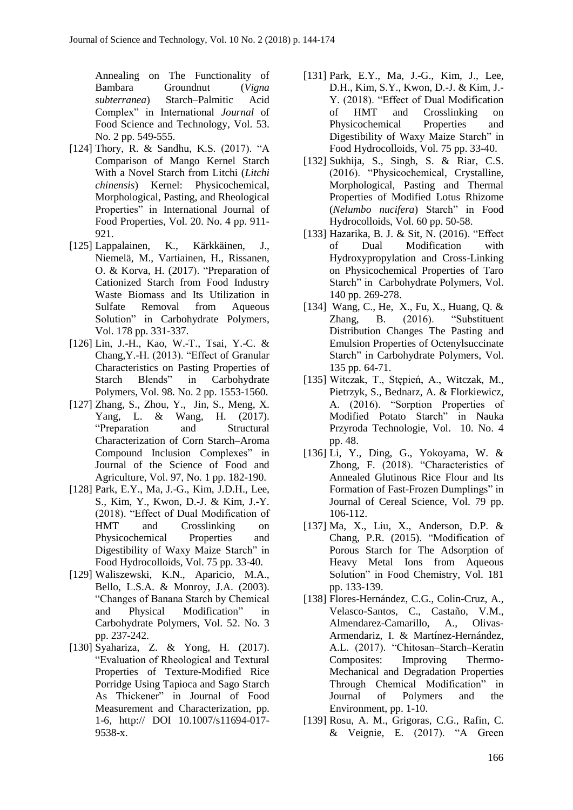Annealing on The Functionality of Bambara Groundnut (*Vigna subterranea*) Starch–Palmitic Acid Complex" in International *Journal* of Food Science and Technology, Vol. 53. No. 2 pp. 549-555.

- [124] Thory, R. & Sandhu, K.S. (2017). "A Comparison of Mango Kernel Starch With a Novel Starch from Litchi (*Litchi chinensis*) Kernel: Physicochemical, Morphological, Pasting, and Rheological Properties" in International Journal of Food Properties, Vol. 20. No. 4 pp. 911- 921.
- [125] Lappalainen, K., Kärkkäinen, J., Niemelä, M., Vartiainen, H., Rissanen, O. & Korva, H. (2017). "Preparation of Cationized Starch from Food Industry Waste Biomass and Its Utilization in Sulfate Removal from Aqueous Solution" in Carbohydrate Polymers, Vol. 178 pp. 331-337.
- [126] Lin, J.-H., Kao, W.-T., Tsai, Y.-C. & Chang,Y.-H. (2013). "Effect of Granular Characteristics on Pasting Properties of Starch Blends" in Carbohydrate Polymers, Vol. 98. No. 2 pp. 1553-1560.
- [127] Zhang, S., Zhou, Y., Jin, S., Meng, X. Yang, L. & Wang, H. (2017). "Preparation and Structural Characterization of Corn Starch–Aroma Compound Inclusion Complexes" in Journal of the Science of Food and Agriculture, Vol. 97, No. 1 pp. 182-190.
- [128] Park, E.Y., Ma, J.-G., Kim, J.D.H., Lee, S., Kim, Y., Kwon, D.-J. & Kim, J.-Y. (2018). "Effect of Dual Modification of HMT and Crosslinking on Physicochemical Properties and Digestibility of Waxy Maize Starch" in Food Hydrocolloids, Vol. 75 pp. 33-40.
- [129] Waliszewski, K.N., Aparicio, M.A., Bello, L.S.A. & Monroy, J.A. (2003). "Changes of Banana Starch by Chemical and Physical Modification" in Carbohydrate Polymers, Vol. 52. No. 3 pp. 237-242.
- [130] Syahariza, Z. & Yong, H. (2017). "Evaluation of Rheological and Textural Properties of Texture-Modified Rice Porridge Using Tapioca and Sago Starch As Thickener" in Journal of Food Measurement and Characterization, pp. 1-6, http:// DOI 10.1007/s11694-017- 9538-x.
- [131] Park, E.Y., Ma, J.-G., Kim, J., Lee, D.H., Kim, S.Y., Kwon, D.-J. & Kim, J.- Y. (2018). "Effect of Dual Modification of HMT and Crosslinking on Physicochemical Properties and Digestibility of Waxy Maize Starch" in Food Hydrocolloids, Vol. 75 pp. 33-40.
- [132] Sukhija, S., Singh, S. & Riar, C.S. (2016). "Physicochemical, Crystalline, Morphological, Pasting and Thermal Properties of Modified Lotus Rhizome (*Nelumbo nucifera*) Starch" in Food Hydrocolloids, Vol. 60 pp. 50-58.
- [133] Hazarika, B. J. & Sit, N. (2016). "Effect of Dual Modification with Hydroxypropylation and Cross-Linking on Physicochemical Properties of Taro Starch" in Carbohydrate Polymers, Vol. 140 pp. 269-278.
- [134] Wang, C., He, X., Fu, X., Huang, Q. & Zhang, B. (2016). "Substituent Distribution Changes The Pasting and Emulsion Properties of Octenylsuccinate Starch" in Carbohydrate Polymers, Vol. 135 pp. 64-71.
- [135] Witczak, T., Stępień, A., Witczak, M., Pietrzyk, S., Bednarz, A. & Florkiewicz, A. (2016). "Sorption Properties of Modified Potato Starch" in Nauka Przyroda Technologie, Vol. 10. No. 4 pp. 48.
- [136] Li, Y., Ding, G., Yokoyama, W. & Zhong, F. (2018). "Characteristics of Annealed Glutinous Rice Flour and Its Formation of Fast-Frozen Dumplings" in Journal of Cereal Science, Vol. 79 pp. 106-112.
- [137] Ma, X., Liu, X., Anderson, D.P. & Chang, P.R. (2015). "Modification of Porous Starch for The Adsorption of Heavy Metal Ions from Aqueous Solution" in Food Chemistry, Vol. 181 pp. 133-139.
- [138] Flores-Hernández, C.G., Colin-Cruz, A., Velasco-Santos, C., Castaño, V.M., Almendarez-Camarillo, A., Olivas-Armendariz, I. & Martínez-Hernández, A.L. (2017). "Chitosan–Starch–Keratin Composites: Improving Thermo-Mechanical and Degradation Properties Through Chemical Modification" in Journal of Polymers and the Environment, pp. 1-10.
- [139] Rosu, A. M., Grigoras, C.G., Rafin, C. & Veignie, E. (2017). "A Green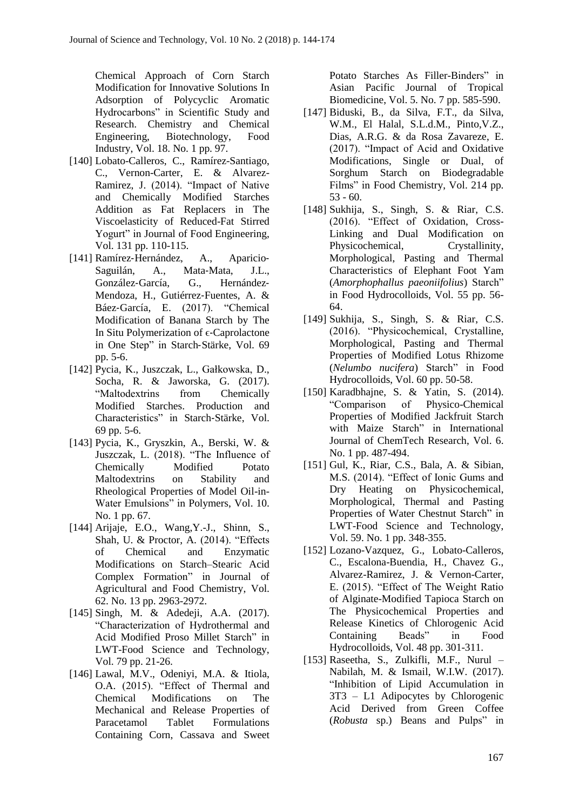Chemical Approach of Corn Starch Modification for Innovative Solutions In Adsorption of Polycyclic Aromatic Hydrocarbons" in Scientific Study and Research. Chemistry and Chemical Engineering, Biotechnology, Food Industry, Vol. 18. No. 1 pp. 97.

- [140] Lobato-Calleros, C., Ramírez-Santiago, C., Vernon-Carter, E. & Alvarez-Ramirez, J. (2014). "Impact of Native and Chemically Modified Starches Addition as Fat Replacers in The Viscoelasticity of Reduced-Fat Stirred Yogurt" in Journal of Food Engineering, Vol. 131 pp. 110-115.
- [141] Ramírez‐Hernández, A., Aparicio‐ Saguilán, A., Mata‐Mata, J.L., González‐García, G., Hernández‐ Mendoza, H., Gutiérrez‐Fuentes, A. & Báez‐García, E. (2017). "Chemical Modification of Banana Starch by The In Situ Polymerization of  $\epsilon$ -Caprolactone in One Step" in Starch‐Stärke, Vol. 69 pp. 5-6.
- [142] Pycia, K., Juszczak, L., Gałkowska, D., Socha, R. & Jaworska, G. (2017). "Maltodextrins from Chemically Modified Starches. Production and Characteristics" in Starch‐Stärke, Vol. 69 pp. 5-6.
- [143] Pycia, K., Gryszkin, A., Berski, W. & Juszczak, L. (2018). "The Influence of Chemically Modified Potato Maltodextrins on Stability and Rheological Properties of Model Oil-in-Water Emulsions" in Polymers, Vol. 10. No. 1 pp. 67.
- [144] Arijaje, E.O., Wang,Y.-J., Shinn, S., Shah, U. & Proctor, A. (2014). "Effects of Chemical and Enzymatic Modifications on Starch–Stearic Acid Complex Formation" in Journal of Agricultural and Food Chemistry, Vol. 62. No. 13 pp. 2963-2972.
- [145] Singh, M. & Adedeji, A.A. (2017). "Characterization of Hydrothermal and Acid Modified Proso Millet Starch" in LWT-Food Science and Technology, Vol. 79 pp. 21-26.
- [146] Lawal, M.V., Odeniyi, M.A. & Itiola, O.A. (2015). "Effect of Thermal and Chemical Modifications on The Mechanical and Release Properties of Paracetamol Tablet Formulations Containing Corn, Cassava and Sweet

Potato Starches As Filler-Binders" in Asian Pacific Journal of Tropical Biomedicine, Vol. 5. No. 7 pp. 585-590.

- [147] Biduski, B., da Silva, F.T., da Silva, W.M., El Halal, S.L.d.M., Pinto,V.Z., Dias, A.R.G. & da Rosa Zavareze, E. (2017). "Impact of Acid and Oxidative Modifications, Single or Dual, of Sorghum Starch on Biodegradable Films" in Food Chemistry, Vol. 214 pp.  $53 - 60$ .
- [148] Sukhija, S., Singh, S. & Riar, C.S. (2016). "Effect of Oxidation, Cross-Linking and Dual Modification on Physicochemical, Crystallinity, Morphological, Pasting and Thermal Characteristics of Elephant Foot Yam (*Amorphophallus paeoniifolius*) Starch" in Food Hydrocolloids, Vol. 55 pp. 56- 64.
- [149] Sukhija, S., Singh, S. & Riar, C.S. (2016). "Physicochemical, Crystalline, Morphological, Pasting and Thermal Properties of Modified Lotus Rhizome (*Nelumbo nucifera*) Starch" in Food Hydrocolloids, Vol. 60 pp. 50-58.
- [150] Karadbhajne, S. & Yatin, S. (2014). "Comparison of Physico-Chemical Properties of Modified Jackfruit Starch with Maize Starch" in International Journal of ChemTech Research, Vol. 6. No. 1 pp. 487-494.
- [151] Gul, K., Riar, C.S., Bala, A. & Sibian, M.S. (2014). "Effect of Ionic Gums and Dry Heating on Physicochemical, Morphological, Thermal and Pasting Properties of Water Chestnut Starch" in LWT-Food Science and Technology, Vol. 59. No. 1 pp. 348-355.
- [152] Lozano-Vazquez, G., Lobato-Calleros, C., Escalona-Buendia, H., Chavez G., Alvarez-Ramirez, J. & Vernon-Carter, E. (2015). "Effect of The Weight Ratio of Alginate-Modified Tapioca Starch on The Physicochemical Properties and Release Kinetics of Chlorogenic Acid Containing Beads" in Food Hydrocolloids, Vol. 48 pp. 301-311.
- [153] Raseetha, S., Zulkifli, M.F., Nurul Nabilah, M. & Ismail, W.I.W. (2017). "Inhibition of Lipid Accumulation in 3T3 – L1 Adipocytes by Chlorogenic Acid Derived from Green Coffee (*Robusta* sp.) Beans and Pulps" in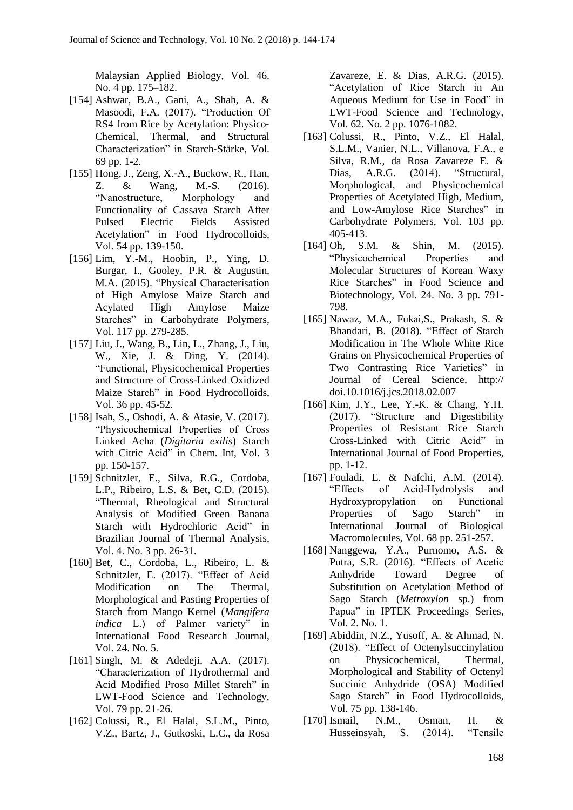Malaysian Applied Biology, Vol. 46. No. 4 pp. 175–182.

- [154] Ashwar, B.A., Gani, A., Shah, A. & Masoodi, F.A. (2017). "Production Of RS4 from Rice by Acetylation: Physico‐ Chemical, Thermal, and Structural Characterization" in Starch‐Stärke, Vol. 69 pp. 1-2.
- [155] Hong, J., Zeng, X.-A., Buckow, R., Han, Z. & Wang, M.-S. (2016). "Nanostructure, Morphology and Functionality of Cassava Starch After Pulsed Electric Fields Assisted Acetylation" in Food Hydrocolloids, Vol. 54 pp. 139-150.
- [156] Lim, Y.-M., Hoobin, P., Ying, D. Burgar, I., Gooley, P.R. & Augustin, M.A. (2015). "Physical Characterisation of High Amylose Maize Starch and Acylated High Amylose Maize Starches" in Carbohydrate Polymers, Vol. 117 pp. 279-285.
- [157] Liu, J., Wang, B., Lin, L., Zhang, J., Liu, W., Xie, J. & Ding, Y. (2014). "Functional, Physicochemical Properties and Structure of Cross-Linked Oxidized Maize Starch" in Food Hydrocolloids, Vol. 36 pp. 45-52.
- [158] Isah, S., Oshodi, A. & Atasie, V. (2017). "Physicochemical Properties of Cross Linked Acha (*Digitaria exilis*) Starch with Citric Acid" in Chem. Int, Vol. 3 pp. 150-157.
- [159] Schnitzler, E., Silva, R.G., Cordoba, L.P., Ribeiro, L.S. & Bet, C.D. (2015). "Thermal, Rheological and Structural Analysis of Modified Green Banana Starch with Hydrochloric Acid" in Brazilian Journal of Thermal Analysis, Vol. 4. No. 3 pp. 26-31.
- [160] Bet, C., Cordoba, L., Ribeiro, L. & Schnitzler, E. (2017). "Effect of Acid Modification on The Thermal, Morphological and Pasting Properties of Starch from Mango Kernel (*Mangifera indica* L.) of Palmer variety" in International Food Research Journal, Vol. 24. No. 5.
- [161] Singh, M. & Adedeji, A.A. (2017). "Characterization of Hydrothermal and Acid Modified Proso Millet Starch" in LWT-Food Science and Technology, Vol. 79 pp. 21-26.
- [162] Colussi, R., El Halal, S.L.M., Pinto, V.Z., Bartz, J., Gutkoski, L.C., da Rosa

Zavareze, E. & Dias, A.R.G. (2015). "Acetylation of Rice Starch in An Aqueous Medium for Use in Food" in LWT-Food Science and Technology, Vol. 62. No. 2 pp. 1076-1082.

- [163] Colussi, R., Pinto, V.Z., El Halal, S.L.M., Vanier, N.L., Villanova, F.A., e Silva, R.M., da Rosa Zavareze E. & Dias, A.R.G. (2014). "Structural, Morphological, and Physicochemical Properties of Acetylated High, Medium, and Low-Amylose Rice Starches" in Carbohydrate Polymers, Vol. 103 pp. 405-413.
- [164] Oh, S.M. & Shin, M. (2015). "Physicochemical Properties and Molecular Structures of Korean Waxy Rice Starches" in Food Science and Biotechnology, Vol. 24. No. 3 pp. 791- 798.
- [165] Nawaz, M.A., Fukai,S., Prakash, S. & Bhandari, B. (2018). "Effect of Starch Modification in The Whole White Rice Grains on Physicochemical Properties of Two Contrasting Rice Varieties" in Journal of Cereal Science, http:// doi.10.1016/j.jcs.2018.02.007
- [166] Kim, J.Y., Lee, Y.-K. & Chang, Y.H. (2017). "Structure and Digestibility Properties of Resistant Rice Starch Cross-Linked with Citric Acid" in International Journal of Food Properties, pp. 1-12.
- [167] Fouladi, E. & Nafchi, A.M. (2014). "Effects of Acid-Hydrolysis and Hydroxypropylation on Functional Properties of Sago Starch" in International Journal of Biological Macromolecules, Vol. 68 pp. 251-257.
- [168] Nanggewa, Y.A., Purnomo, A.S. & Putra, S.R. (2016). "Effects of Acetic Anhydride Toward Degree of Substitution on Acetylation Method of Sago Starch (*Metroxylon* sp.) from Papua" in IPTEK Proceedings Series, Vol. 2. No. 1.
- [169] Abiddin, N.Z., Yusoff, A. & Ahmad, N. (2018). "Effect of Octenylsuccinylation on Physicochemical, Thermal, Morphological and Stability of Octenyl Succinic Anhydride (OSA) Modified Sago Starch" in Food Hydrocolloids, Vol. 75 pp. 138-146.
- [170] Ismail, N.M., Osman, H. & Husseinsyah, S. (2014). "Tensile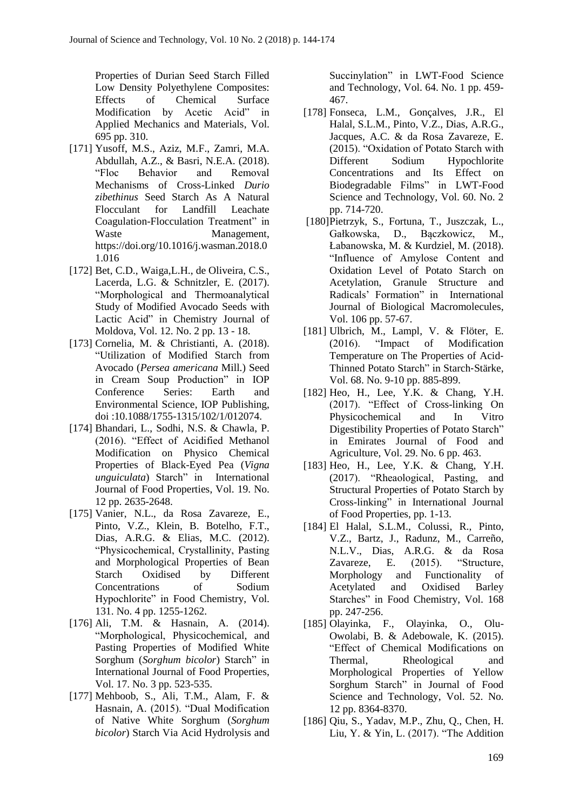Properties of Durian Seed Starch Filled Low Density Polyethylene Composites: Effects of Chemical Surface Modification by Acetic Acid" in Applied Mechanics and Materials, Vol. 695 pp. 310.

- [171] Yusoff, M.S., Aziz, M.F., Zamri, M.A. Abdullah, A.Z., & Basri, N.E.A. (2018). "Floc Behavior and Removal Mechanisms of Cross-Linked *Durio zibethinus* Seed Starch As A Natural Flocculant for Landfill Leachate Coagulation-Flocculation Treatment" in Waste **Management**, https://doi.org/10.1016/j.wasman.2018.0 1.016
- [172] Bet, C.D., Waiga,L.H., de Oliveira, C.S., Lacerda, L.G. & Schnitzler, E. (2017). "Morphological and Thermoanalytical Study of Modified Avocado Seeds with Lactic Acid" in Chemistry Journal of Moldova, Vol. 12. No. 2 pp. 13 - 18.
- [173] Cornelia, M. & Christianti, A. (2018). "Utilization of Modified Starch from Avocado (*Persea americana* Mill.) Seed in Cream Soup Production" in IOP Conference Series: Earth and Environmental Science, IOP Publishing, doi :10.1088/1755-1315/102/1/012074.
- [174] Bhandari, L., Sodhi, N.S. & Chawla, P. (2016). "Effect of Acidified Methanol Modification on Physico Chemical Properties of Black-Eyed Pea (*Vigna unguiculata*) Starch" in International Journal of Food Properties, Vol. 19. No. 12 pp. 2635-2648.
- [175] Vanier, N.L., da Rosa Zavareze, E., Pinto, V.Z., Klein, B. Botelho, F.T., Dias, A.R.G. & Elias, M.C. (2012). "Physicochemical, Crystallinity, Pasting and Morphological Properties of Bean Starch Oxidised by Different Concentrations of Sodium Hypochlorite" in Food Chemistry, Vol. 131. No. 4 pp. 1255-1262.
- [176] Ali, T.M. & Hasnain, A. (2014). "Morphological, Physicochemical, and Pasting Properties of Modified White Sorghum (*Sorghum bicolor*) Starch" in International Journal of Food Properties, Vol. 17. No. 3 pp. 523-535.
- [177] Mehboob, S., Ali, T.M., Alam, F. & Hasnain, A. (2015). "Dual Modification of Native White Sorghum (*Sorghum bicolor*) Starch Via Acid Hydrolysis and

Succinylation" in LWT-Food Science and Technology, Vol. 64. No. 1 pp. 459- 467.

- [178] Fonseca, L.M., Gonçalves, J.R., El Halal, S.L.M., Pinto, V.Z., Dias, A.R.G., Jacques, A.C. & da Rosa Zavareze, E. (2015). "Oxidation of Potato Starch with Different Sodium Hypochlorite Concentrations and Its Effect on Biodegradable Films" in LWT-Food Science and Technology, Vol. 60. No. 2 pp. 714-720.
- [180]Pietrzyk, S., Fortuna, T., Juszczak, L., Gałkowska, D., Bączkowicz, M., Łabanowska, M. & Kurdziel, M. (2018). "Influence of Amylose Content and Oxidation Level of Potato Starch on Acetylation, Granule Structure and Radicals' Formation" in International Journal of Biological Macromolecules, Vol. 106 pp. 57-67.
- [181] Ulbrich, M., Lampl, V. & Flöter, E. (2016). "Impact of Modification Temperature on The Properties of Acid‐ Thinned Potato Starch" in Starch‐Stärke, Vol. 68. No. 9-10 pp. 885-899.
- [182] Heo, H., Lee, Y.K. & Chang, Y.H. (2017). "Effect of Cross-linking On Physicochemical and In Vitro Digestibility Properties of Potato Starch" in Emirates Journal of Food and Agriculture, Vol. 29. No. 6 pp. 463.
- [183] Heo, H., Lee, Y.K. & Chang, Y.H. (2017). "Rheaological, Pasting, and Structural Properties of Potato Starch by Cross-linking" in International Journal of Food Properties, pp. 1-13.
- [184] El Halal, S.L.M., Colussi, R., Pinto, V.Z., Bartz, J., Radunz, M., Carreño, N.L.V., Dias, A.R.G. & da Rosa Zavareze, E. (2015). "Structure, Morphology and Functionality of Acetylated and Oxidised Barley Starches" in Food Chemistry, Vol. 168 pp. 247-256.
- [185] Olayinka, F., Olayinka, O., Olu-Owolabi, B. & Adebowale, K. (2015). "Effect of Chemical Modifications on Thermal, Rheological and Morphological Properties of Yellow Sorghum Starch" in Journal of Food Science and Technology, Vol. 52. No. 12 pp. 8364-8370.
- [186] Qiu, S., Yadav, M.P., Zhu, Q., Chen, H. Liu, Y. & Yin, L. (2017). "The Addition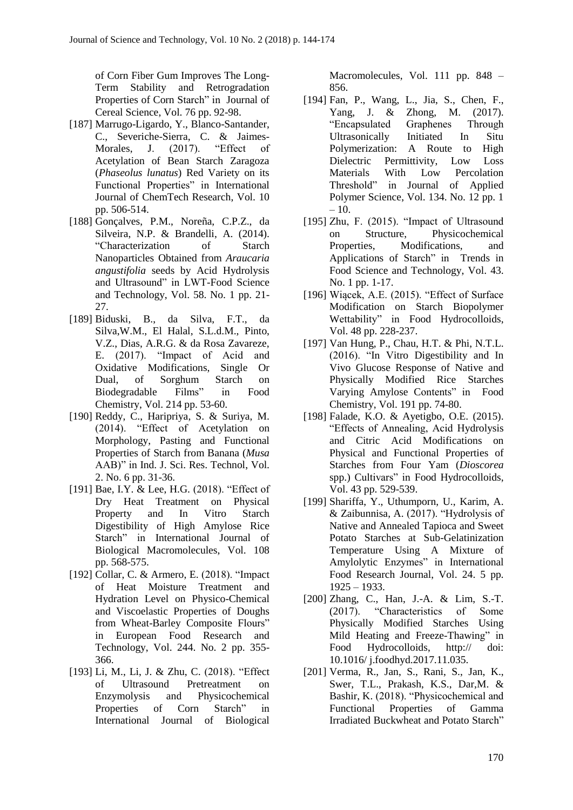of Corn Fiber Gum Improves The Long-Term Stability and Retrogradation Properties of Corn Starch" in Journal of Cereal Science, Vol. 76 pp. 92-98.

- [187] Marrugo-Ligardo, Y., Blanco-Santander, C., Severiche-Sierra, C. & Jaimes-Morales, J. (2017). "Effect of Acetylation of Bean Starch Zaragoza (*Phaseolus lunatus*) Red Variety on its Functional Properties" in International Journal of ChemTech Research, Vol. 10 pp. 506-514.
- [188] Gonçalves, P.M., Noreña, C.P.Z., da Silveira, N.P. & Brandelli, A. (2014). "Characterization of Starch Nanoparticles Obtained from *Araucaria angustifolia* seeds by Acid Hydrolysis and Ultrasound" in LWT-Food Science and Technology, Vol. 58. No. 1 pp. 21- 27.
- [189] Biduski, B., da Silva, F.T., da Silva,W.M., El Halal, S.L.d.M., Pinto, V.Z., Dias, A.R.G. & da Rosa Zavareze, E. (2017). "Impact of Acid and Oxidative Modifications, Single Or Dual, of Sorghum Starch on Biodegradable Films" in Food Chemistry, Vol. 214 pp. 53-60.
- [190] Reddy, C., Haripriya, S. & Suriya, M. (2014). "Effect of Acetylation on Morphology, Pasting and Functional Properties of Starch from Banana (*Musa* AAB)" in Ind. J. Sci. Res. Technol, Vol. 2. No. 6 pp. 31-36.
- [191] Bae, I.Y. & Lee, H.G. (2018). "Effect of Dry Heat Treatment on Physical Property and In Vitro Starch Digestibility of High Amylose Rice Starch" in International Journal of Biological Macromolecules, Vol. 108 pp. 568-575.
- [192] Collar, C. & Armero, E. (2018). "Impact of Heat Moisture Treatment and Hydration Level on Physico-Chemical and Viscoelastic Properties of Doughs from Wheat-Barley Composite Flours" in European Food Research and Technology, Vol. 244. No. 2 pp. 355- 366.
- [193] Li, M., Li, J. & Zhu, C. (2018). "Effect of Ultrasound Pretreatment on Enzymolysis and Physicochemical Properties of Corn Starch" in International Journal of Biological

Macromolecules, Vol. 111 pp. 848 – 856.

- [194] Fan, P., Wang, L., Jia, S., Chen, F., Yang, J. & Zhong, M. (2017). "Encapsulated Graphenes Through Ultrasonically Initiated In Situ Polymerization: A Route to High Dielectric Permittivity, Low Loss Materials With Low Percolation Threshold" in Journal of Applied Polymer Science, Vol. 134. No. 12 pp. 1  $-10.$
- [195] Zhu, F. (2015). "Impact of Ultrasound on Structure, Physicochemical Properties, Modifications, and Applications of Starch" in Trends in Food Science and Technology, Vol. 43. No. 1 pp. 1-17.
- [196] Wiącek, A.E. (2015). "Effect of Surface Modification on Starch Biopolymer Wettability" in Food Hydrocolloids, Vol. 48 pp. 228-237.
- [197] Van Hung, P., Chau, H.T. & Phi, N.T.L. (2016). "In Vitro Digestibility and In Vivo Glucose Response of Native and Physically Modified Rice Starches Varying Amylose Contents" in Food Chemistry, Vol. 191 pp. 74-80.
- [198] Falade, K.O. & Ayetigbo, O.E. (2015). "Effects of Annealing, Acid Hydrolysis and Citric Acid Modifications on Physical and Functional Properties of Starches from Four Yam (*Dioscorea* spp.) Cultivars" in Food Hydrocolloids, Vol. 43 pp. 529-539.
- [199] Shariffa, Y., Uthumporn, U., Karim, A. & Zaibunnisa, A. (2017). "Hydrolysis of Native and Annealed Tapioca and Sweet Potato Starches at Sub-Gelatinization Temperature Using A Mixture of Amylolytic Enzymes" in International Food Research Journal, Vol. 24. 5 pp. 1925 – 1933.
- [200] Zhang, C., Han, J.-A. & Lim, S.-T. (2017). "Characteristics of Some Physically Modified Starches Using Mild Heating and Freeze-Thawing" in Food Hydrocolloids, http:// doi: 10.1016/ j.foodhyd.2017.11.035.
- [201] Verma, R., Jan, S., Rani, S., Jan, K., Swer, T.L., Prakash, K.S., Dar,M. & Bashir, K. (2018). "Physicochemical and Functional Properties of Gamma Irradiated Buckwheat and Potato Starch"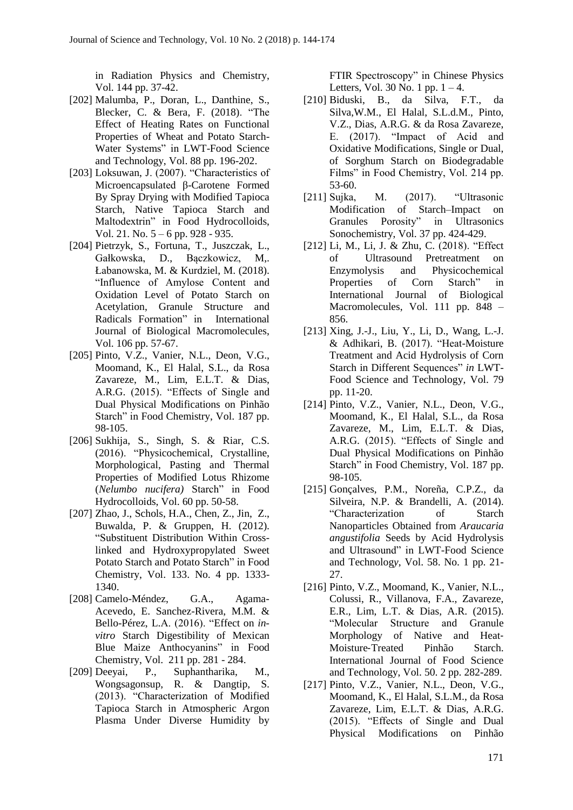in Radiation Physics and Chemistry, Vol. 144 pp. 37-42.

- [202] Malumba, P., Doran, L., Danthine, S., Blecker, C. & Bera, F. (2018). "The Effect of Heating Rates on Functional Properties of Wheat and Potato Starch-Water Systems" in LWT-Food Science and Technology, Vol. 88 pp. 196-202.
- [203] Loksuwan, J. (2007). "Characteristics of Microencapsulated β-Carotene Formed By Spray Drying with Modified Tapioca Starch, Native Tapioca Starch and Maltodextrin" in Food Hydrocolloids, Vol. 21. No. 5 – 6 pp. 928 - 935.
- [204] Pietrzyk, S., Fortuna, T., Juszczak, L., Gałkowska, D., Bączkowicz, M,. Łabanowska, M. & Kurdziel, M. (2018). "Influence of Amylose Content and Oxidation Level of Potato Starch on Acetylation, Granule Structure and Radicals Formation" in International Journal of Biological Macromolecules, Vol. 106 pp. 57-67.
- [205] Pinto, V.Z., Vanier, N.L., Deon, V.G., Moomand, K., El Halal, S.L., da Rosa Zavareze, M., Lim, E.L.T. & Dias, A.R.G. (2015). "Effects of Single and Dual Physical Modifications on Pinhão Starch" in Food Chemistry, Vol. 187 pp. 98-105.
- [206] Sukhija, S., Singh, S. & Riar, C.S. (2016). "Physicochemical, Crystalline, Morphological, Pasting and Thermal Properties of Modified Lotus Rhizome (*Nelumbo nucifera)* Starch" in Food Hydrocolloids, Vol. 60 pp. 50-58.
- [207] Zhao, J., Schols, H.A., Chen, Z., Jin, Z., Buwalda, P. & Gruppen, H. (2012). "Substituent Distribution Within Crosslinked and Hydroxypropylated Sweet Potato Starch and Potato Starch" in Food Chemistry, Vol. 133. No. 4 pp. 1333- 1340.
- [208] Camelo-Méndez, G.A., Agama-Acevedo, E. Sanchez-Rivera, M.M. & Bello-Pérez, L.A. (2016). "Effect on *invitro* Starch Digestibility of Mexican Blue Maize Anthocyanins" in Food Chemistry, Vol. 211 pp. 281 - 284.
- [209] Deeyai, P., Suphantharika, M., Wongsagonsup, R. & Dangtip, S. (2013). "Characterization of Modified Tapioca Starch in Atmospheric Argon Plasma Under Diverse Humidity by

FTIR Spectroscopy" in Chinese Physics Letters, Vol. 30 No. 1 pp.  $1 - 4$ .

- [210] Biduski, B., da Silva, F.T., da Silva,W.M., El Halal, S.L.d.M., Pinto, V.Z., Dias, A.R.G. & da Rosa Zavareze, E. (2017). "Impact of Acid and Oxidative Modifications, Single or Dual, of Sorghum Starch on Biodegradable Films" in Food Chemistry, Vol. 214 pp. 53-60.
- [211] Sujka, M. (2017). "Ultrasonic Modification of Starch–Impact on Granules Porosity" in Ultrasonics Sonochemistry, Vol. 37 pp. 424-429.
- [212] Li, M., Li, J. & Zhu, C. (2018). "Effect of Ultrasound Pretreatment on Enzymolysis and Physicochemical Properties of Corn Starch" in International Journal of Biological Macromolecules, Vol. 111 pp. 848 – 856.
- [213] Xing, J.-J., Liu, Y., Li, D., Wang, L.-J. & Adhikari, B. (2017). "Heat-Moisture Treatment and Acid Hydrolysis of Corn Starch in Different Sequences" *in* LWT-Food Science and Technology, Vol. 79 pp. 11-20.
- [214] Pinto, V.Z., Vanier, N.L., Deon, V.G., Moomand, K., El Halal, S.L., da Rosa Zavareze, M., Lim, E.L.T. & Dias, A.R.G. (2015). "Effects of Single and Dual Physical Modifications on Pinhão Starch" in Food Chemistry, Vol. 187 pp. 98-105.
- [215] Gonçalves, P.M., Noreña, C.P.Z., da Silveira, N.P. & Brandelli, A. (2014). "Characterization of Starch Nanoparticles Obtained from *Araucaria angustifolia* Seeds by Acid Hydrolysis and Ultrasound" in LWT-Food Science and Technolog*y*, Vol. 58. No. 1 pp. 21- 27.
- [216] Pinto, V.Z., Moomand, K., Vanier, N.L., Colussi, R., Villanova, F.A., Zavareze, E.R., Lim, L.T. & Dias, A.R. (2015). "Molecular Structure and Granule Morphology of Native and Heat-Moisture‐Treated Pinhão Starch. International Journal of Food Science and Technology, Vol. 50. 2 pp. 282-289.
- [217] Pinto, V.Z., Vanier, N.L., Deon, V.G., Moomand, K., El Halal, S.L.M., da Rosa Zavareze, Lim, E.L.T. & Dias, A.R.G. (2015). "Effects of Single and Dual Physical Modifications on Pinhão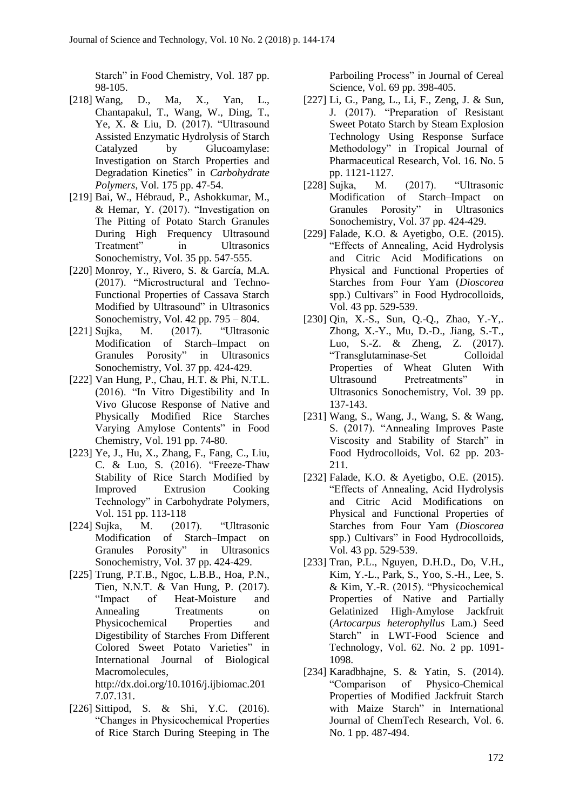Starch" in Food Chemistry, Vol. 187 pp. 98-105.

- [218] Wang, D., Ma, X., Yan, L., Chantapakul, T., Wang, W., Ding, T., Ye, X. & Liu, D. (2017). "Ultrasound Assisted Enzymatic Hydrolysis of Starch Catalyzed by Glucoamylase: Investigation on Starch Properties and Degradation Kinetics" in *Carbohydrate Polymers*, Vol. 175 pp. 47-54.
- [219] Bai, W., Hébraud, P., Ashokkumar, M., & Hemar, Y. (2017). "Investigation on The Pitting of Potato Starch Granules During High Frequency Ultrasound Treatment" in Ultrasonics Sonochemistry, Vol. 35 pp. 547-555.
- [220] Monroy, Y., Rivero, S. & García, M.A. (2017). "Microstructural and Techno-Functional Properties of Cassava Starch Modified by Ultrasound" in Ultrasonics Sonochemistry, Vol. 42 pp. 795 – 804.
- [221] Sujka, M. (2017). "Ultrasonic Modification of Starch–Impact on Granules Porosity" in Ultrasonics Sonochemistry, Vol. 37 pp. 424-429.
- [222] Van Hung, P., Chau, H.T. & Phi, N.T.L. (2016). "In Vitro Digestibility and In Vivo Glucose Response of Native and Physically Modified Rice Starches Varying Amylose Contents" in Food Chemistry, Vol. 191 pp. 74-80.
- [223] Ye, J., Hu, X., Zhang, F., Fang, C., Liu, C. & Luo, S. (2016). "Freeze-Thaw Stability of Rice Starch Modified by Improved Extrusion Cooking Technology" in Carbohydrate Polymers, Vol. 151 pp. 113-118
- [224] Sujka, M. (2017). "Ultrasonic Modification of Starch–Impact on Granules Porosity" in Ultrasonics Sonochemistry, Vol. 37 pp. 424-429.
- [225] Trung, P.T.B., Ngoc, L.B.B., Hoa, P.N., Tien, N.N.T. & Van Hung, P. (2017). "Impact of Heat-Moisture and Annealing Treatments on Physicochemical Properties and Digestibility of Starches From Different Colored Sweet Potato Varieties" in International Journal of Biological Macromolecules, [http://dx.doi.org/10.1016/j.ijbiomac.201](http://dx.doi.org/10.1016/j.ijbiomac.2017.07.131) [7.07.131.](http://dx.doi.org/10.1016/j.ijbiomac.2017.07.131)
- [226] Sittipod, S. & Shi, Y.C. (2016). "Changes in Physicochemical Properties of Rice Starch During Steeping in The

Parboiling Process" in Journal of Cereal Science, Vol. 69 pp. 398-405.

- [227] Li, G., Pang, L., Li, F., Zeng, J. & Sun, J. (2017). "Preparation of Resistant Sweet Potato Starch by Steam Explosion Technology Using Response Surface Methodology" in Tropical Journal of Pharmaceutical Research, Vol. 16. No. 5 pp. 1121-1127.
- [228] Sujka, M. (2017). "Ultrasonic Modification of Starch–Impact on Granules Porosity" in Ultrasonics Sonochemistry, Vol. 37 pp. 424-429.
- [229] Falade, K.O. & Ayetigbo, O.E. (2015). "Effects of Annealing, Acid Hydrolysis and Citric Acid Modifications on Physical and Functional Properties of Starches from Four Yam (*Dioscorea* spp.) Cultivars" in Food Hydrocolloids, Vol. 43 pp. 529-539.
- [230] Qin, X.-S., Sun, Q.-Q., Zhao, Y.-Y,. Zhong, X.-Y., Mu, D.-D., Jiang, S.-T., Luo, S.-Z. & Zheng, Z. (2017). "Transglutaminase-Set Colloidal Properties of Wheat Gluten With Ultrasound Pretreatments" in Ultrasonics Sonochemistry, Vol. 39 pp. 137-143.
- [231] Wang, S., Wang, J., Wang, S. & Wang, S. (2017). "Annealing Improves Paste Viscosity and Stability of Starch" in Food Hydrocolloids, Vol. 62 pp. 203- 211.
- [232] Falade, K.O. & Ayetigbo, O.E. (2015). "Effects of Annealing, Acid Hydrolysis and Citric Acid Modifications on Physical and Functional Properties of Starches from Four Yam (*Dioscorea* spp.) Cultivars" in Food Hydrocolloids, Vol. 43 pp. 529-539.
- [233] Tran, P.L., Nguyen, D.H.D., Do, V.H., Kim, Y.-L., Park, S., Yoo, S.-H., Lee, S. & Kim, Y.-R. (2015). "Physicochemical Properties of Native and Partially Gelatinized High-Amylose Jackfruit (*Artocarpus heterophyllus* Lam.) Seed Starch" in LWT-Food Science and Technology, Vol. 62. No. 2 pp. 1091- 1098.
- [234] Karadbhajne, S. & Yatin, S. (2014). "Comparison of Physico-Chemical Properties of Modified Jackfruit Starch with Maize Starch" in International Journal of ChemTech Research, Vol. 6. No. 1 pp. 487-494.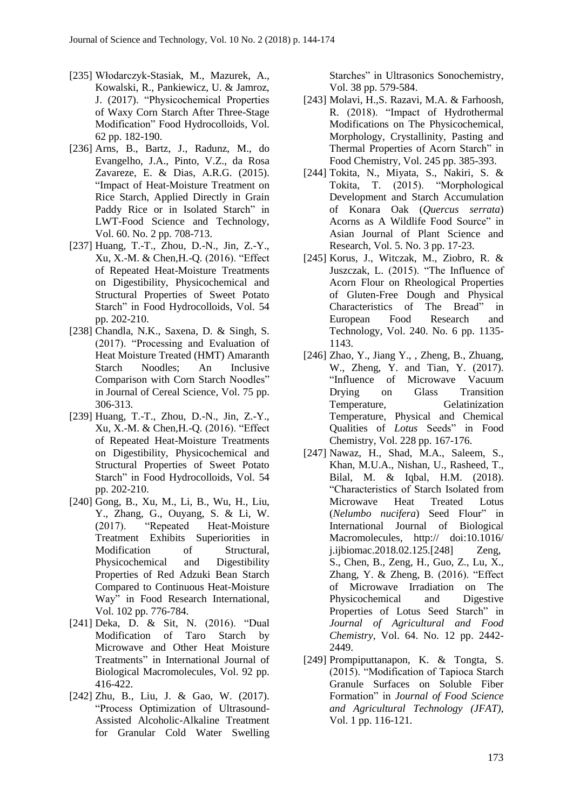- [235] Włodarczyk-Stasiak, M., Mazurek, A., Kowalski, R., Pankiewicz, U. & Jamroz, J. (2017). "Physicochemical Properties of Waxy Corn Starch After Three-Stage Modification" Food Hydrocolloids, Vol. 62 pp. 182-190.
- [236] Arns, B., Bartz, J., Radunz, M., do Evangelho, J.A., Pinto, V.Z., da Rosa Zavareze, E. & Dias, A.R.G. (2015). "Impact of Heat-Moisture Treatment on Rice Starch, Applied Directly in Grain Paddy Rice or in Isolated Starch" in LWT-Food Science and Technology, Vol. 60. No. 2 pp. 708-713.
- [237] Huang, T.-T., Zhou, D.-N., Jin, Z.-Y., Xu, X.-M. & Chen,H.-Q. (2016). "Effect of Repeated Heat-Moisture Treatments on Digestibility, Physicochemical and Structural Properties of Sweet Potato Starch" in Food Hydrocolloids, Vol. 54 pp. 202-210.
- [238] Chandla, N.K., Saxena, D. & Singh, S. (2017). "Processing and Evaluation of Heat Moisture Treated (HMT) Amaranth Starch Noodles; An Inclusive Comparison with Corn Starch Noodles" in Journal of Cereal Science, Vol. 75 pp. 306-313.
- [239] Huang, T.-T., Zhou, D.-N., Jin, Z.-Y., Xu, X.-M. & Chen,H.-Q. (2016). "Effect of Repeated Heat-Moisture Treatments on Digestibility, Physicochemical and Structural Properties of Sweet Potato Starch" in Food Hydrocolloids, Vol. 54 pp. 202-210.
- [240] Gong, B., Xu, M., Li, B., Wu, H., Liu, Y., Zhang, G., Ouyang, S. & Li, W. (2017). "Repeated Heat-Moisture Treatment Exhibits Superiorities in Modification of Structural, Physicochemical and Digestibility Properties of Red Adzuki Bean Starch Compared to Continuous Heat-Moisture Way" in Food Research International, Vol. 102 pp. 776-784.
- [241] Deka, D. & Sit, N. (2016). "Dual Modification of Taro Starch by Microwave and Other Heat Moisture Treatments" in International Journal of Biological Macromolecules, Vol. 92 pp. 416-422.
- [242] Zhu, B., Liu, J. & Gao, W. (2017). "Process Optimization of Ultrasound-Assisted Alcoholic-Alkaline Treatment for Granular Cold Water Swelling

Starches" in Ultrasonics Sonochemistry, Vol. 38 pp. 579-584.

- [243] Molavi, H.,S. Razavi, M.A. & Farhoosh, R. (2018). "Impact of Hydrothermal Modifications on The Physicochemical, Morphology, Crystallinity, Pasting and Thermal Properties of Acorn Starch" in Food Chemistry, Vol. 245 pp. 385-393.
- [244] Tokita, N., Miyata, S., Nakiri, S. & Tokita, T. (2015). "Morphological Development and Starch Accumulation of Konara Oak (*Quercus serrata*) Acorns as A Wildlife Food Source" in Asian Journal of Plant Science and Research, Vol. 5. No. 3 pp. 17-23.
- [245] Korus, J., Witczak, M., Ziobro, R. & Juszczak, L. (2015). "The Influence of Acorn Flour on Rheological Properties of Gluten-Free Dough and Physical Characteristics of The Bread" in European Food Research and Technology, Vol. 240. No. 6 pp. 1135- 1143.
- [246] Zhao, Y., Jiang Y., , Zheng, B., Zhuang, W., Zheng, Y. and Tian, Y. (2017). "Influence of Microwave Vacuum Drying on Glass Transition Temperature, Gelatinization Temperature, Physical and Chemical Qualities of *Lotus* Seeds" in Food Chemistry, Vol. 228 pp. 167-176.
- [247] Nawaz, H., Shad, M.A., Saleem, S., Khan, M.U.A., Nishan, U., Rasheed, T., Bilal, M. & Iqbal, H.M. (2018). "Characteristics of Starch Isolated from Microwave Heat Treated Lotus (*Nelumbo nucifera*) Seed Flour" in International Journal of Biological Macromolecules, http:// doi:10.1016/ j.ijbiomac.2018.02.125.[248] Zeng, S., Chen, B., Zeng, H., Guo, Z., Lu, X., Zhang, Y. & Zheng, B. (2016). "Effect of Microwave Irradiation on The Physicochemical and Digestive Properties of Lotus Seed Starch" in *Journal of Agricultural and Food Chemistry*, Vol. 64. No. 12 pp. 2442- 2449.
- [249] Prompiputtanapon, K. & Tongta, S. (2015). "Modification of Tapioca Starch Granule Surfaces on Soluble Fiber Formation" in *Journal of Food Science and Agricultural Technology (JFAT)*, Vol. 1 pp. 116-121.